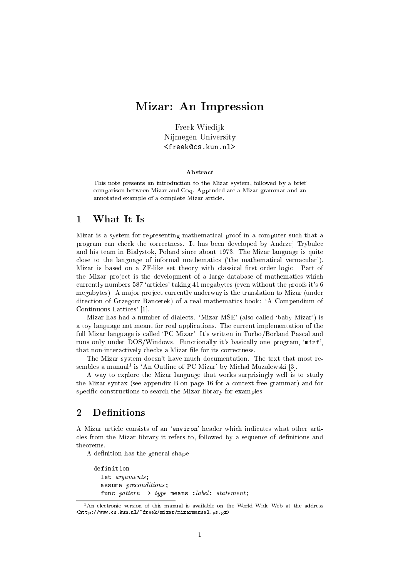# Mizar: An Impression

Freek Wiedijk nijmegen University van Die

#### **Abstract**

This note presents an introduction to the Mizar system, followed by a brief omparison between Mizar and Coq. Appended are a Mizar grammar and an annotated example of a omplete Mizar arti
le.

### 1 What It Is

Mizar is a system for representing mathemati
al proof in a omputer su
h that a program an he
k the orre
tness. It has been developed by Andrzej Trybule and his team in Bialystok, Poland sin
e about 1973. The Mizar language is quite close to the language of informal mathematics ('the mathematical vernacular'). Mizar is based on a ZF-like set theory with classical first order logic. Part of the Mizar project is the development of a large database of mathematics which currently numbers 587 'articles' taking 41 megabytes (even without the proofs it's 6 megabytes). A major project currently underway is the translation to Mizar (under dire
tion of Grzegorz Ban
erek) of a real mathemati
s book: `A Compendium of Continuous Lattices' [1].

Mizar has had a number of dialects. 'Mizar MSE' (also called 'baby Mizar') is a toy language not meant for real appli
ations. The urrent implementation of the full Mizar language is called 'PC Mizar'. It's written in Turbo/Borland Pascal and runs only under DOS/Windows. Functionally it's basically one program, 'mizf', that non-interactively checks a Mizar file for its correctness.

The Mizar system doesn't have much documentation. The text that most resembles a manual<sup>1</sup> is 'An Outline of PC Mizar' by Michał Muzalewski [3].

A way to explore the Mizar language that works surprisingly well is to study the Mizar syntax (see appendix B on page 16 for a ontext free grammar) and for specific constructions to search the Mizar library for examples.

#### 2 Definitions

A Mizar article consists of an 'environ' header which indicates what other articles from the Mizar library it refers to, followed by a sequence of definitions and theorems.

A definition has the general shape:

```
definition
  let arguments;
  assume preconditions;
  func pattern \rightarrow type means : label: statement;
```
 $1$ An electronic version of this manual is available on the World Wide Web at the address <http://www.
s.kun.nl/~freek/mizar/mizarmanual.ps.gz>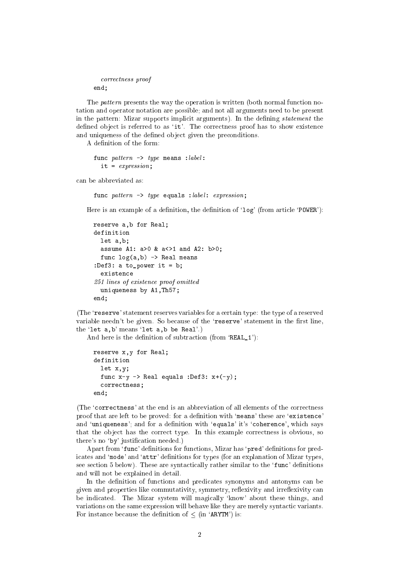```

orre
tness proof
end;
```
The *pattern* presents the way the operation is written (both normal function notation and operator notation are possible; and not all arguments need to be present in the pattern: Mizar supports implicit arguments). In the defining *statement* the defined object is referred to as 'it'. The correctness proof has to show existence and uniqueness of the defined object given the preconditions.

A definition of the form:

```
func pattern -> type means : label:
  it = expression;
```
an be abbreviated as:

func pattern -> type equals : label: expression;

Here is an example of a definition, the definition of ' $log'$  (from article 'POWER'):

```
reserve a,b for Real;
definition
  let a,b;
  assume A1: a>0 & a<>1 and A2: b>0;
  func log(a, b) \rightarrow Real means
:Def3: a to_power it = b;
  existen
e
251 lines of existen
e proof omitted
  uniqueness by A1,Th57;
end;
```
(The 'reserve' statement reserves variables for a certain type: the type of a reserved variable needn't be given. So because of the 'reserve' statement in the first line, the 'let  $a, b$ ' means 'let  $a, b$  be Real'.)

And here is the definition of subtraction (from  $'REAL_1$ ):

```
reserve x,y for Real;
definition
  let x,y;
  fun
 x-y -> Real equals :Def3: x+(-y);

orre
tness;
end;
```
(The 'correctness' at the end is an abbreviation of all elements of the correctness proof that are left to be proved: for a definition with 'means' these are 'existence' and 'uniqueness'; and for a definition with 'equals' it's 'coherence', which says that the object has the correct type. In this example correctness is obvious, so there's no 'by' justification needed.)

Apart from 'func' definitions for functions, Mizar has 'pred' definitions for predicates and 'mode' and 'attr' definitions for types (for an explanation of Mizar types, see section 5 below). These are syntactically rather similar to the 'func' definitions and will not be explained in detail.

In the definition of functions and predicates synonyms and antonyms can be given and properties like commutativity, symmetry, reflexivity and irreflexivity can be indicated. The Mizar system will magically 'know' about these things, and variations on the same expression will behave like they are merely syntactic variants. For instance because the definition of  $\leq$  (in 'ARYTM') is: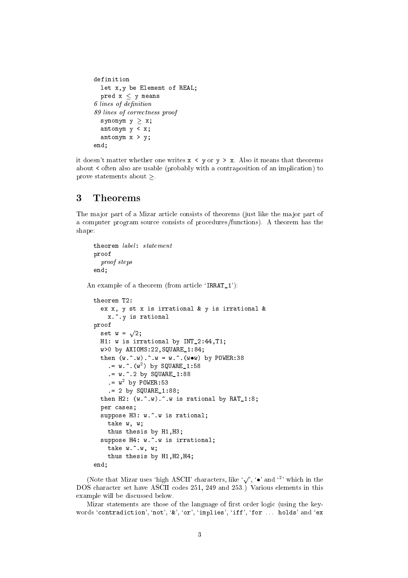```
definition
  let x,y be Element of REAL;
  pred x < y means
6 lines of definition
89 lines of 
orre
tness proof
  synonym y \geq x;
  antonym y < x;
  antonym x > y;
end;
```
it doesn't matter whether one writes  $x \leq y$  or  $y \geq x$ . Also it means that theorems about < often also are usable (probably with a contraposition of an implication) to prove statements about  $\geq$ .

### 3 Theorems

The major part of a Mizar article consists of theorems (just like the major part of a computer program source consists of procedures/functions). A theorem has the shape:

```
theorem label: statement
proof
  proof steps
end;
```
An example of a theorem (from article 'IRRAT\_1'):

```
theorem T2:
  ex x, y st x is irrational & y is irrational &
    x.^.y is rational
proof
  set w = \sqrt{2};
  H1: w is irrational by INT_2:44,T1;
  w>0 by AXIOMS:22,SQUARE_1:84;
  then (w \cdot \hat{w}) \cdot \hat{w} = w \cdot \hat{w}. (wow) by POWER:38
     .= w.^.(w2
) by SQUARE_1:58
     . = w.^2 by SQUARE_1:88
     .= w2
by POWER:53
     .= 2 by SQUARE_1:88;
  then H2: (w \tcdot w) \tcdot w is rational by RAT_1:8;
  per 
ases;
  suppose H3: w.^.w is rational;
    take w, w;
    thus thesis by H1,H3;
  suppose H4: w.^.w is irrational;
    take w.^.w, w;
    thus thesis by H1,H2,H4;
end;
```
(Note that Mizar uses 'high ASCII' characters, like  $\langle \cdot, \cdot \rangle$  and  $\langle \cdot \rangle$  which in the DOS character set have ASCII codes 251, 249 and 253.) Various elements in this example will be dis
ussed below.

Mizar statements are those of the language of first order logic (using the keywords 'contradiction', 'not', '&', 'or', 'implies', 'iff', 'for ... holds' and 'ex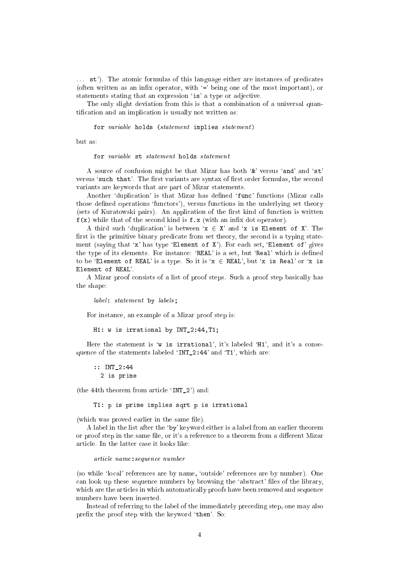... st'). The atomic formulas of this language either are instances of predicates (often written as an infix operator, with  $\epsilon$  being one of the most important), or statements stating that an expression 'is' a type or adjective.

The only slight deviation from this is that a combination of a universal quantification and an implication is usually not written as:

for variable holds (statement implies statement)

hut as:

for variable st statement holds statement

A source of confusion might be that Mizar has both '&' versus 'and' and 'st' versus 'such that'. The first variants are syntax of first order formulas, the second variants are keywords that are part of Mizar statements.

Another 'duplication' is that Mizar has defined 'func' functions (Mizar calls those defined operations 'functors'), versus functions in the underlying set theory (sets of Kuratowski pairs). An application of the first kind of function is written  $f(x)$  while that of the second kind is  $f(x)$  (with an infix dot operator).

A third such 'duplication' is between ' $x \in X'$  and 'x is Element of X'. The first is the primitive binary predicate from set theory, the second is a typing statement (saying that 'x' has type 'Element of  $X'$ ). For each set, 'Element of' gives the type of its elements. For instance: 'REAL' is a set, but 'Real' which is defined to be 'Element of REAL' is a type. So it is ' $x \in \text{REAL}'$ , but 'x is Real' or 'x is Element of REAL'.

A Mizar proof consists of a list of proof steps. Such a proof step basically has the shape:

label: statement by labels;

For instan
e, an example of a Mizar proof step is:

H1: w is irrational by INT\_2:44,T1;

Here the statement is 'w is irrational', it's labeled 'H1', and it's a consequence of the statements labeled 'INT 2:44' and 'T1', which are:

:: INT\_2:44 2 is prime

(the 44th theorem from article 'INT $_2$ ') and:

T1: p is prime implies sqrt p is irrational

(which was proved earlier in the same file).

A label in the list after the `by' keyword either is a label from an earlier theorem or proof step in the same file, or it's a reference to a theorem from a different Mizar

arti
le name:sequen
e number

(so while `lo
al' referen
es are by name, `outside' referen
es are by number). One an look up these sequen
e numbers by browsing the `abstra
t' les of the library, which are the articles in which automatically proofs have been removed and sequence numbers have been inserted.

Instead of referring to the label of the immediately pre
eding step, one may also prefix the proof step with the keyword 'then'. So: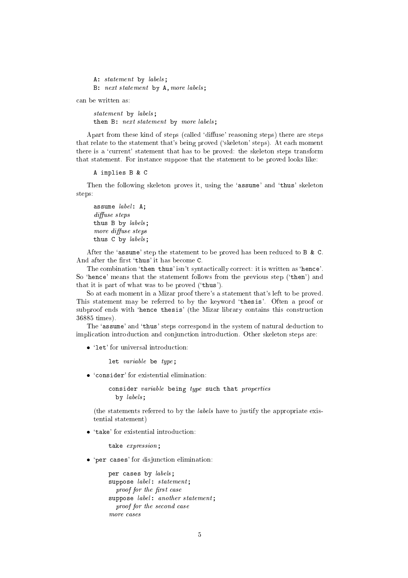A: statement by labels; B: next statement by A,more labels;

an be written as:

statement by labels; then B: next statement by more labels;

Apart from these kind of steps (called 'diffuse' reasoning steps) there are steps that relate to the statement that's being proved ('skeleton' steps). At each moment there is a 'current' statement that has to be proved: the skeleton steps transform that statement. For instan
e suppose that the statement to be proved looks like:

#### A implies B & C

Then the following skeleton proves it, using the 'assume' and 'thus' skeleton steps:

assume  $label:1.1}$  A;  $diffuse steps$ thus  $B$  by  $labels$ ; more diffuse steps thus C by *labels*;

After the 'assume' step the statement to be proved has been reduced to B & C. And after the first 'thus' it has become C.

The combination 'then thus' isn't syntactically correct: it is written as 'hence'. So 'hence' means that the statement follows from the previous step ('then') and that it is part of what was to be proved (`thus').

So at each moment in a Mizar proof there's a statement that's left to be proved. This statement may be referred to by the keyword 'thesis'. Often a proof or subproof ends with 'hence thesis' (the Mizar library contains this construction 36885 times).

The 'assume' and 'thus' steps correspond in the system of natural deduction to implication introduction and conjunction introduction. Other skeleton steps are:

• 'let' for universal introduction:

let variable be type;

• 'consider' for existential elimination:

consider variable being type such that properties by labels;

(the statements referred to by the labels have to justify the appropriate existential statement)

• 'take' for existential introduction:

take expression;

• 'per cases' for disjunction elimination:

per cases by *labels*; suppose *label*: statement; proof for the first case suppose label: another statement; proof for the second case more cases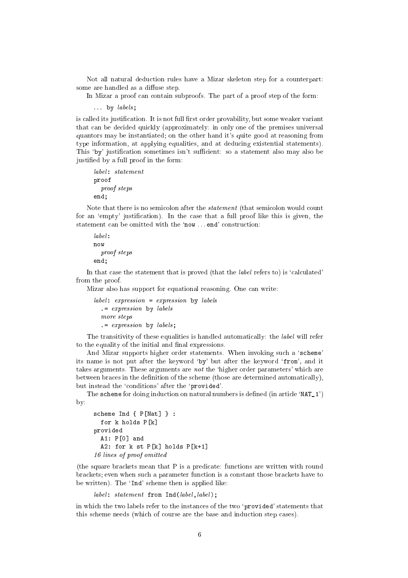Not all natural deduction rules have a Mizar skeleton step for a counterpart: some are handled as a diffuse step.

In Mizar a proof can contain subproofs. The part of a proof step of the form:

 $\ldots$  by labels;

is called its justification. It is not full first order provability, but some weaker variant that an be de
ided qui
kly (approximately: in only one of the premises universal quantors may be instantiated; on the other hand it's quite good at reasoning from type information, at applying equalities, and at dedu
ing existential statements). This 'by' justification sometimes isn't sufficient: so a statement also may also be justied by a full proof in the form:

```
proof
  proof steps
end;
```
Note that there is no semicolon after the *statement* (that semicolon would count for an 'empty' justification). In the case that a full proof like this is given, the statement can be omitted with the 'now ... end' construction:

```
label:right}now
   proof steps
end:end;
```
In that case the statement that is proved (that the *label* refers to) is 'calculated' from the proof.

Mizar also has support for equational reasoning. One can write:

```
label:correlator} label: expression = expression by labels
   .= expression by labels
  more steps
  . = expression by labels;
```
The transitivity of these equalities is handled automatically: the *label* will refer to the equality of the initial and final expressions.

And Mizar supports higher order statements. When invoking such a 'scheme' its name is not put after the keyword 'by' but after the keyword 'from', and it takes arguments. These arguments are *not* the 'higher order parameters' which are between braces in the definition of the scheme (those are determined automatically), but instead the 'conditions' after the 'provided'.

The scheme for doing induction on natural numbers is defined (in article 'NAT\_1') by:

```
scheme Ind \{ P[Nat] \}:
  for k holds P[k]provided
  A1: P[0] and
  A2: for k st P[k] holds P[k+1]16 lines of proof omitted
```
(the square brackets mean that P is a predicate: functions are written with round bra
kets; even when su
h a parameter fun
tion is a onstant those bra
kets have to be written). The 'Ind' scheme then is applied like:

 $label:1}$   $label:1}$  statement from Ind(label, label);

in which the two labels refer to the instances of the two 'provided' statements that this scheme needs (which of course are the base and induction step cases).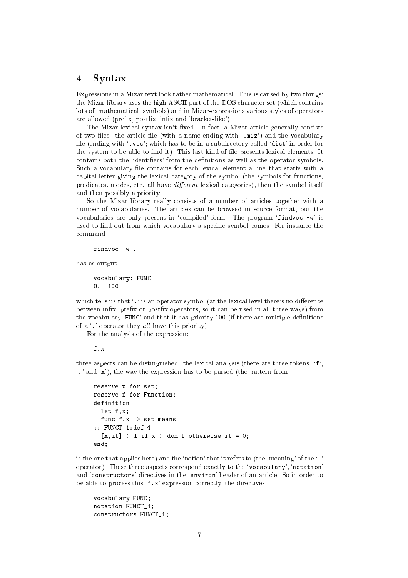### 4 Syntax

Expressions in a Mizar text look rather mathematical. This is caused by two things: the Mizar library uses the high ASCII part of the DOS character set (which contains lots of 'mathematical' symbols) and in Mizar-expressions various styles of operators are allowed (prefix, postfix, infix and 'bracket-like').

The Mizar lexical syntax isn't fixed. In fact, a Mizar article generally consists of two files: the article file (with a name ending with '.miz') and the vocabulary file (ending with '.voc'; which has to be in a subdirectory called 'dict' in order for the system to be able to find it). This last kind of file presents lexical elements. It contains both the 'identifiers' from the definitions as well as the operator symbols. Such a vocabulary file contains for each lexical element a line that starts with a apital letter giving the lexi
al ategory of the symbol (the symbols for fun
tions, predicates, modes, etc. all have *different* lexical categories), then the symbol itself and then possibly a priority.

So the Mizar library really onsists of a number of arti
les together with a number of vo
abularies. The arti
les an be browsed in sour
e format, but the vocabularies are only present in 'compiled' form. The program 'findvoc -w' is used to find out from which vocabulary a specific symbol comes. For instance the command:

findvoc -w.

has as output:

vo
abulary: FUNC O. 100

which tells us that '.' is an operator symbol (at the lexical level there's no difference between infix, prefix or postfix operators, so it can be used in all three ways) from the vocabulary 'FUNC' and that it has priority 100 (if there are multiple definitions of a  $\cdot$ . ' operator they all have this priority).

For the analysis of the expression:

f.x

three aspects can be distinguished: the lexical analysis (there are three tokens:  $f$ ,  $\cdot$ .' and  $\cdot$ x'), the way the expression has to be parsed (the pattern from:

```
reserve x for set;
reserve f for Function;
  let f,x;
  func f.x -> set means
:: FUNCT_1:def 4
  [x, it] \in f if x \in dom f otherwise it = 0;
end;
```
is the one that applies here) and the 'notion' that it refers to (the 'meaning' of the  $\cdot$ .' operator). These three aspects correspond exactly to the 'vocabulary', 'notation' and 'constructors' directives in the 'environ' header of an article. So in order to be able to process this  $f.x'$  expression correctly, the directives:

```
vo
abulary FUNC;
notation FUNCT_1;
constructors FUNCT_1;
```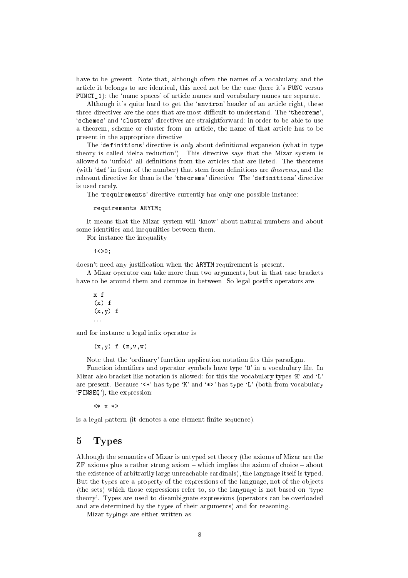have to be present. Note that, although often the names of a vocabulary and the arti
le it belongs to are identi
al, this need not be the ase (here it's FUNC versus FUNCT\_1): the `name spa
es' of arti
le names and vo
abulary names are separate.

Although it's quite hard to get the 'environ' header of an article right, these three directives are the ones that are most difficult to understand. The 'theorems', 's chemes' and 'clusters' directives are straightforward: in order to be able to use a theorem, s
heme or luster from an arti
le, the name of that arti
le has to be present in the appropriate dire
tive.

The 'definitions' directive is only about definitional expansion (what in type theory is called 'delta reduction'). This directive says that the Mizar system is allowed to 'unfold' all definitions from the articles that are listed. The theorems (with 'def' in front of the number) that stem from definitions are theorems, and the relevant directive for them is the 'theorems' directive. The 'definitions' directive is used rarely.

The 'requirements' directive currently has only one possible instance:

#### requirements ARYTM;

It means that the Mizar system will 'know' about natural numbers and about some identities and inequalities between them.

For instan
e the inequality

 $1 < > 0$ :

doesn't need any justification when the ARYTM requirement is present.

A Mizar operator can take more than two arguments, but in that case brackets have to be around them and commas in between. So legal postfix operators are:

x f  $(x)$  f  $(x, y)$  f

and for instance a legal infix operator is:

 $(x,y)$  f  $(z,v,w)$ 

Note that the 'ordinary' function application notation fits this paradigm.

Function identifiers and operator symbols have type '0' in a vocabulary file. In Mizar also bracket-like notation is allowed: for this the vocabulary types  $K'$  and  $L'$ are present. Because  $\langle \cdot \rangle^*$  has type  $\langle K \rangle$  and  $\langle * \rangle^*$  has type  $\langle L \rangle^*$  (both from vocabulary `FINSEQ'), the expression:

<\* x \*>

is a legal pattern (it denotes a one element finite sequence).

### 5 Types

Although the semanti
s of Mizar is untyped set theory (the axioms of Mizar are the  $ZF$  axioms plus a rather strong axiom  $-\text{ which implies the axiom of choice } - \text{about}$ the existen
e of arbitrarily large unrea
hable ardinals), the language itself is typed. But the types are a property of the expressions of the language, not of the objects (the sets) whi
h those expressions refer to, so the language is not based on `type theory'. Types are used to disambiguate expressions (operators an be overloaded and are determined by the types of their arguments) and for reasoning.

Mizar typings are either written as: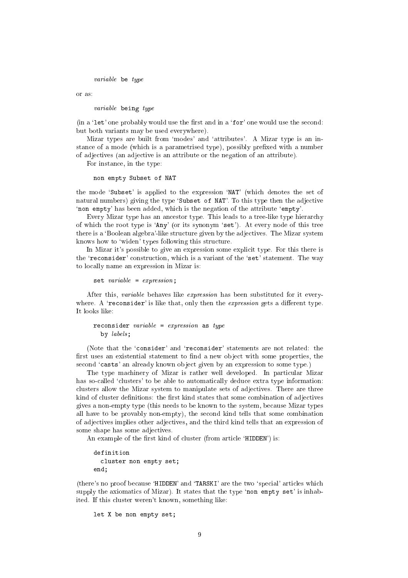variable be type

or as:

variable being type

(in a 'let' one probably would use the first and in a 'for' one would use the second: but both variants may be used everywhere).

Mizar types are built from 'modes' and 'attributes'. A Mizar type is an instance of a mode (which is a parametrised type), possibly prefixed with a number of adje
tives (an adje
tive is an attribute or the negation of an attribute).

For instan
e, in the type:

```
non empty Subset of NAT
```
the mode `Subset' is applied to the expression `NAT' (whi
h denotes the set of natural numbers) giving the type 'Subset of NAT'. To this type then the adjective 'non empty' has been added, which is the negation of the attribute 'empty'.

Every Mizar type has an an
estor type. This leads to a tree-like type hierar
hy of which the root type is 'Any' (or its synonym 'set'). At every node of this tree there is a 'Boolean algebra'-like structure given by the adjectives. The Mizar system knows how to 'widen' types following this structure.

In Mizar it's possible to give an expression some explicit type. For this there is the 'reconsider' construction, which is a variant of the 'set' statement. The way to lo
ally name an expression in Mizar is:

set  $variable = expression;$ 

After this, variable behaves like expression has been substituted for it everywhere. A 'reconsider' is like that, only then the *expression* gets a different type. It looks like:

reconsider variable = expression as type by labels;

(Note that the 'consider' and 'reconsider' statements are not related: the first uses an existential statement to find a new object with some properties, the second 'casts' an already known object given by an expression to some type.)

The type machinery of Mizar is rather well developed. In particular Mizar has so-called 'clusters' to be able to automatically deduce extra type information: clusters allow the Mizar system to manipulate sets of adjectives. There are three kind of cluster definitions: the first kind states that some combination of adjectives gives a non-empty type (this needs to be known to the system, be
ause Mizar types all have to be provably non-empty), the se
ond kind tells that some ombination of adje
tives implies other adje
tives, and the third kind tells that an expression of some shape has some adje
tives.

An example of the first kind of cluster (from article 'HIDDEN') is:

```
definition
  cluster non empty set;
end;
```
(there's no proof because 'HIDDEN' and 'TARSKI' are the two 'special' articles which supply the axiomatics of Mizar). It states that the type 'non empty set' is inhabited. If this luster weren't known, something like:

let X be non empty set;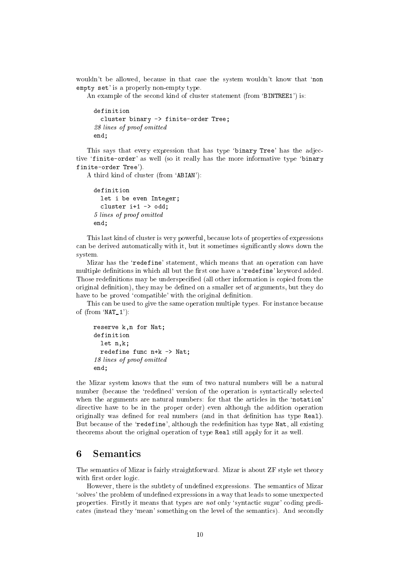wouldn't be allowed, because in that case the system wouldn't know that 'non empty set' is a properly non-empty type.

An example of the second kind of cluster statement (from 'BINTREE1') is:

```
definition
  cluster binary -> finite-order Tree;
28 lines of proof omitted
end;
```
This says that every expression that has type 'binary Tree' has the adjective 'finite-order' as well (so it really has the more informative type 'binary finite-order Tree').

A third kind of luster (from `ABIAN'):

```
definition
  let i be even Integer;
  cluster i+1 -> odd;
5 lines of proof omitted
end;
```
This last kind of cluster is very powerful, because lots of properties of expressions can be derived automatically with it, but it sometimes significantly slows down the system.

Mizar has the 'redefine' statement, which means that an operation can have multiple definitions in which all but the first one have a 'redefine' keyword added. Those redefinitions may be underspecified (all other information is copied from the original definition), they may be defined on a smaller set of arguments, but they do have to be proved 'compatible' with the original definition.

This can be used to give the same operation multiple types. For instance because of  $(from 'NAT_1')$ :

```
reserve k,n for Nat;
definition
  let n,k;
  redefine func n+k -> Nat;
18 lines of proof omitted
end;
```
the Mizar system knows that the sum of two natural numbers will be a natural number (because the 'redefined' version of the operation is syntactically selected when the arguments are natural numbers: for that the articles in the 'notation' dire
tive have to be in the proper order) even although the addition operation originally was defined for real numbers (and in that definition has type Real). But because of the 'redefine', although the redefinition has type Nat, all existing theorems about the original operation of type Real still apply for it as well.

### 6 Semanti
s

The semanti
s of Mizar is fairly straightforward. Mizar is about ZF style set theory with first order logic.

However, there is the subtlety of undefined expressions. The semantics of Mizar 'solves' the problem of undefined expressions in a way that leads to some unexpected properties. Firstly it means that types are *not* only 'syntactic sugar' coding predicates (instead they 'mean' something on the level of the semantics). And secondly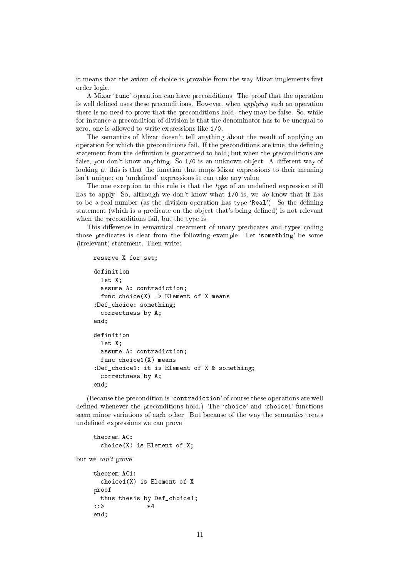it means that the axiom of choice is provable from the way Mizar implements first order logi
.

A Mizar 'func' operation can have preconditions. The proof that the operation is well defined uses these preconditions. However, when *applying* such an operation there is no need to prove that the preconditions hold: they may be false. So, while for instan
e a pre
ondition of division is that the denominator has to be unequal to zero, one is allowed to write expressions like 1/0.

The semanti
s of Mizar doesn't tell anything about the result of applying an operation for which the preconditions fail. If the preconditions are true, the defining statement from the definition is guaranteed to hold; but when the preconditions are false, you don't know anything. So 1/0 is an unknown object. A different way of looking at this is that the function that maps Mizar expressions to their meaning isn't unique: on 'undefined' expressions it can take any value.

The one exception to this rule is that the *type* of an undefined expression still has to apply. So, although we don't know what 1/0 is, we do know that it has to be a real number (as the division operation has type 'Real'). So the defining statement (which is a predicate on the object that's being defined) is not relevant when the preconditions fail, but the type is.

This difference in semantical treatment of unary predicates and types coding those predicates is clear from the following example. Let 'something' be some (irrelevant) statement. Then write:

```
reserve X for set;
definition
  let X;
  assume A: contradiction;
  func choice (X) \rightarrow Element of X means
:Def_choice: something;

orre
tness by A;
end;
definition
  let X:\mathcal{L} is the \mathcal{L}assume A: contradiction;
  func choice1(X) means
:Def_
hoi
e1: it is Element of X & something;

orre
tness by A;
end;
```
(Because the precondition is 'contradiction' of course these operations are well defined whenever the preconditions hold.) The 'choice' and 'choice1' functions seem minor variations of each other. But because of the way the semantics treats undefined expressions we can prove:

theorem AC:  $choice(X)$  is Element of X;

but we an't prove:

```
theorem AC1:
 choice1(X) is Element of X
proof
 thus thesis by Def_choice1;
::> *4
end;
```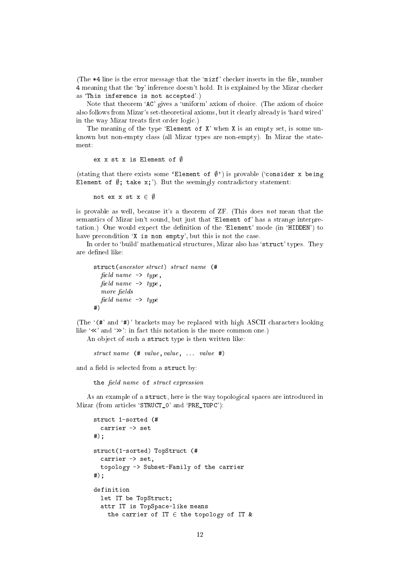(The  $*4$  line is the error message that the 'mizf' checker inserts in the file, number 4 meaning that the `by' inferen
e doesn't hold. It is explained by the Mizar he
ker as 'This inference is not accepted'.)

Note that theorem 'AC' gives a 'uniform' axiom of choice. (The axiom of choice also follows from Mizar's set-theoreti
al axioms, but it learly already is `hard wired' in the way Mizar treats first order logic.)

The meaning of the type 'Element of  $X'$  when  $X$  is an empty set, is some unknown but non-empty lass (all Mizar types are non-empty). In Mizar the statement:

ex x st x is Element of  $\emptyset$ 

(stating that there exists some 'Element of  $(\emptyset)$ ') is provable ('consider x being Element of  $\emptyset$ ; take x;'). But the seemingly contradictory statement:

not ex x st  $x \in \emptyset$ 

is provable as well, because it's a theorem of ZF. (This does not mean that the semantics of Mizar isn't sound, but just that 'Element of' has a strange interpretation.) One would expect the definition of the 'Element' mode (in 'HIDDEN') to have precondition 'X is non empty', but this is not the case.

In order to 'build' mathematical structures, Mizar also has 'struct' types. They are defined like:

```
struct (ancestor struct) struct name (#
   field name \rightarrow type,
   field name \rightarrow type,
  more fields
   \emph{field name} -> type
#)
```
(The '(#' and '#)' brackets may be replaced with high ASCII characters looking like  $\ll$  and  $\gg$ : in fact this notation is the more common one.)

An object of such a struct type is then written like:

struct name  $(\# \ value, value, \dots \ value \#)$ 

and a field is selected from a struct by:

the field name of struct expression

As an example of a struct, here is the way topological spaces are introduced in Mizar (from articles 'STRUCT\_0' and 'PRE\_TOPC'):

```
stru
t 1-sorted (#

arrier -> set
#);
struct(1-sorted) TopStruct (#

arrier -> set,
  topology -> Subset-Family of the 
arrier
#);
  let IT be TopStruct;
  attr IT is TopSpa
e-like means
    the carrier of IT \in the topology of IT &
```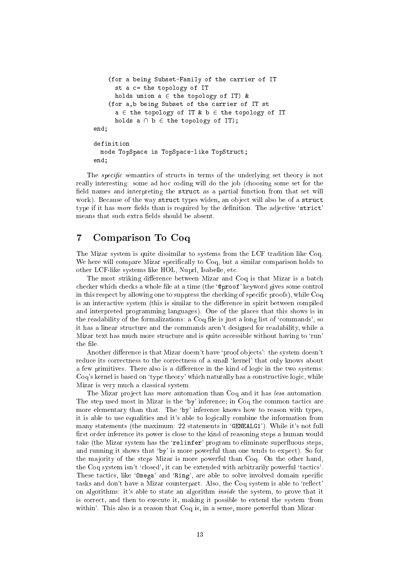```
(for a being Subset-Family of the 
arrier of IT
      st a c= the topology of IT
      holds union a \in the topology of IT) &
    (for a,b being Subset of the 
arrier of IT st
      a \in the topology of IT & b \in the topology of IT
      holds a \cap b \in the topology of IT);
end;
definition
  mode TopSpa
e is TopSpa
e-like TopStru
t;
end;
```
The *specific* semantics of structs in terms of the underlying set theory is not really interesting: some ad hoc coding will do the job (choosing some set for the field names and interpreting the struct as a partial function from that set will work). Because of the way struct types widen, an object will also be of a struct type if it has *more* fields than is required by the definition. The adjective 'strict' means that such extra fields should be absent.

## 7 Comparison To Coq

The Mizar system is quite dissimilar to systems from the LCF tradition like Coq. We here will compare Mizar specifically to Coq, but a similar comparison holds to other LCF-like systems like HOL, Nuprl, Isabelle, et
.

The most striking difference between Mizar and Coq is that Mizar is a batch checker which checks a whole file at a time (the '**Oproof'** keyword gives some control in this respect by allowing one to suppress the checking of specific proofs), while Coq is an interactive system (this is similar to the difference in spirit between compiled and interpreted programming languages). One of the pla
es that this shows is in the readability of the formalizations: a Coq file is just a long list of 'commands', so it has a linear stru
ture and the ommands aren't designed for readability, while a Mizar text has much more structure and is quite accessible without having to 'run' the file

Another difference is that Mizar doesn't have 'proof objects': the system doesn't reduce its correctness to the correctness of a small 'kernel' that only knows about a few primitives. There also is a difference in the kind of logic in the two systems: Coq's kernel is based on 'type theory' which naturally has a constructive logic, while Mizar is very much a classical system.

The Mizar project has *more* automation than Coq and it has less automation. The step used most in Mizar is the 'by' inference; in Coq the common tactics are more elementary than that. The 'by' inference knows how to reason with types, it is able to use equalities and it's able to logi
ally ombine the information from many statements (the maximum: 22 statements in 'GENEALG1'). While it's not full first order inference its power is close to the kind of reasoning steps a human would take (the Mizar system has the 'relinfer' program to eliminate superfluous steps, and running it shows that 'by' is more powerful than one tends to expect). So for the majority of the steps Mizar is more powerful than Coq. On the other hand, the Coq system isn't 'closed', it can be extended with arbitrarily powerful 'tactics'. These tactics, like 'Omega' and 'Ring', are able to solve involved domain specific tasks and don't have a Mizar counterpart. Also, the Coq system is able to 'reflect' on algorithms: it's able to state an algorithm inside the system, to prove that it is orre
t, and then to exe
ute it, making it possible to extend the system `from within'. This also is a reason that Coq is, in a sense, more powerful than Mizar.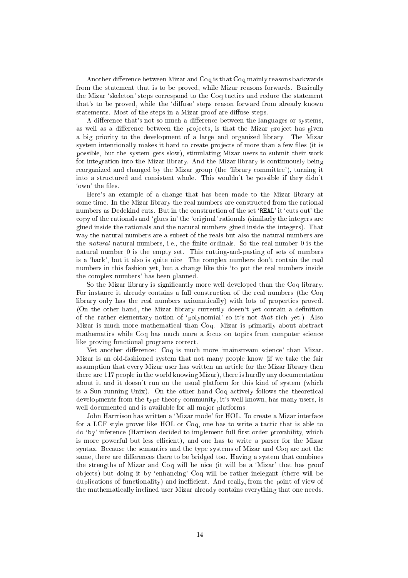Another difference between Mizar and Coq is that Coq mainly reasons backwards from the statement that is to be proved, while Mizar reasons forwards. Basically the Mizar 'skeleton' steps correspond to the Coq tactics and reduce the statement that's to be proved, while the 'diffuse' steps reason forward from already known statements. Most of the steps in a Mizar proof are diffuse steps.

A difference that's not so much a difference between the languages or systems, as well as a difference between the projects, is that the Mizar project has given a big priority to the development of a large and organized library. The Mizar system intentionally makes it hard to create projects of more than a few files (it is possible, but the system gets slow), stimulating Mizar users to submit their work for integration into the Mizar library. And the Mizar library is ontinuously being reorganized and changed by the Mizar group (the 'library committee'), turning it into a stru
tured and onsistent whole. This wouldn't be possible if they didn't 'own' the files.

Here's an example of a hange that has been made to the Mizar library at some time. In the Mizar library the real numbers are constructed from the rational numbers as Dedekind cuts. But in the construction of the set 'REAL' it 'cuts out' the opy of the rationals and `glues in' the `original' rationals (similarly the integers are glued inside the rationals and the natural numbers glued inside the integers). That way the natural numbers are a subset of the reals but also the natural numbers are the *natural* natural numbers, i.e., the finite ordinals. So the real number 0 is the natural number 0 is the empty set. This utting-and-pasting of sets of numbers is a 'hack', but it also is quite nice. The complex numbers don't contain the real numbers in this fashion yet, but a change like this 'to put the real numbers inside the omplex numbers' has been planned.

So the Mizar library is significantly more well developed than the Coq library. For instan
e it already ontains a full onstru
tion of the real numbers (the Coq library only has the real numbers axiomati
ally) with lots of properties proved. (On the other hand, the Mizar library urrently doesn't yet ontain a denition of the rather elementary notion of 'polynomial' so it's not *that* rich yet.) Also Mizar is much more mathematical than Coq. Mizar is primarily about abstract mathematics while Coq has much more a focus on topics from computer science like proving functional programs correct.

Yet another difference: Coq is much more 'mainstream science' than Mizar. Mizar is an old-fashioned system that not many people know (if we take the fair assumption that every Mizar user has written an arti
le for the Mizar library then there are 117 people in the world knowing Mizar), there is hardly any do
umentation about it and it doesn't run on the usual platform for this kind of system (whi
h is a Sun running Unix). On the other hand Coq actively follows the theoretical developments from the type theory ommunity, it's well known, has many users, is well documented and is available for all major platforms.

John Harrrison has written a 'Mizar mode' for HOL. To create a Mizar interface for a LCF style prover like HOL or Coq, one has to write a tactic that is able to do 'by' inference (Harrison decided to implement full first order provability, which is more powerful but less efficient), and one has to write a parser for the Mizar syntax. Because the semantics and the type systems of Mizar and Coq are not the same, there are differences there to be bridged too. Having a system that combines the strengths of Mizar and Coq will be nice (it will be a 'Mizar' that has proof ob je
ts) but doing it by `enhan
ing' Coq will be rather inelegant (there will be duplications of functionality) and inefficient. And really, from the point of view of the mathemati
ally in
lined user Mizar already ontains everything that one needs.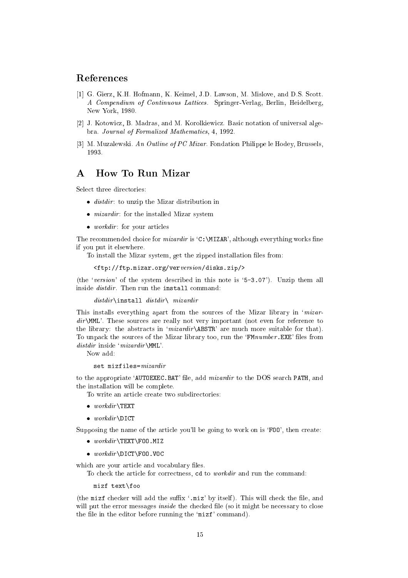### Referen
es

- [1] G. Gierz, K.H. Hofmann, K. Keimel, J.D. Lawson, M. Mislove, and D.S. Scott. A Compendium of Continuous Latti
es. Springer-Verlag, Berlin, Heidelberg, New York, 1980.
- [2] J. Kotowicz, B. Madras, and M. Korolkiewicz. Basic notation of universal algebra. Journal of Formalized Mathemati
s, 4, 1992.
- [3] M. Muzalewski. An Outline of PC Mizar. Fondation Philippe le Hodey, Brussels, 1993.

## A How To Run Mizar

Select three directories:

- distribution is uncertainty that distribution in the Mixard department.
- mizardir : for the installed mixar system in the installer
- work in the state of the state articles in the state of the state of the state of the state of the state of the

The recommended choice for *mizardir* is  $C:\MIZAR$ , although everything works fine if you put it elsewhere.

To install the Mizar system, get the zipped installation files from:

```
<ftp://ftp.mizar.org/verversion/disks.zip/>
```
(the 'version' of the system described in this note is '5-3.07'). Unzip them all inside *distdir*. Then run the install command:

distdir \install distdir \ mizardir

This installs everything apart from the sources of the Mizar library in '*mizar*dir \MML'. These sources are really not very important (not even for reference to the library: the abstracts in ' $mizardir \triangle ABSTR$ ' are much more suitable for that). To unpack the sources of the Mizar library too, run the 'FMnumber. EXE' files from  $distdir$  inside ' $mixardir \text{MML}$ '.

Now add:

set mizfiles=mizardir

to the appropriate 'AUTOEXEC.BAT' file, add *mizardir* to the DOS search PATH, and the installation will be omplete.

To write an article create two subdirectories:

- $\bullet$  workdir \TEXT where the contract of the contract of the contract of the contract of the contract of the contract of the contract of the contract of the contract of the contract of the contract of the contract of the contract of the con
- $\bullet$  workdir \DICT where  $\Omega$  is the state  $\Omega$

Supposing the name of the article you'll be going to work on is 'FOO', then create:

- workdirectly  $\Upsilon$  is the set of  $\Gamma$
- where we have a positive  $\Gamma$

which are your article and vocabulary files.

To check the article for correctness, cd to *workdir* and run the command:

mizf text\foo mizing the contract of the contract of the contract of the contract of the contract of the contract of the contract of the contract of the contract of the contract of the contract of the contract of the contract of the co

(the mizf checker will add the suffix '.miz' by itself). This will check the file, and will put the error messages *inside* the checked file (so it might be necessary to close the file in the editor before running the 'mizf' command).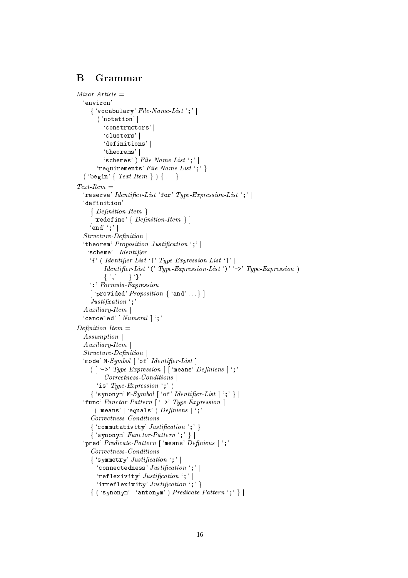#### B Grammar

```
Mizar-Article ='environ'
     \{ 'vocabulary' File-Name-List ';' |( 'notation' |'constructors'|
          'clusters' |
          'definitions'
          'theorems'
          'schemes') File\text{-}Name\text{-}List';'|
       'requirements' File-Name-List ';' }
  ('begin' { Text\text{-}Item } ) { ...}.
Text-Item ='reserve' Identifier-List 'for' Type-Expression-List ';' |
  'definition'
     \{Definition-Item\}\lceil 'redefine' \{ Definition-Item \}]
     \lq\end'\lq\mathbin{;}Structure\text{-}Definition'theorem' Proposition Justification ';' |
  ['scheme'] Identifier
     '{' ( Identifier\ List '[' Type-Expression-List ']' |
          Identifier-List '(' Type-Expression-List ')' '->' Type-Expression )
          {',\dots} T
     \cdot: Formula-Expression
     ['provided' Proposition \{ 'and' ... \}]
     Justification:
  Auxiliary-Item'canceled' \lceil Numeral \rceil';'.
\label{eq:Definition} Definition\text{-}Item \; = \;Assumption
  Auxiliary-ItemStructure\text{-}Definition'mode' M-Symbol ['of' Identifier-List]
     ([ -\rightarrow ' \; Type\text{-}Expression\; ] \; [ \; 'means' \; Definitions \; ] \; ' ;'Correctness-Conditions
       'is' Type-Expression ';' )
     \{ 'synonym' M-Symbol \lceil 'of' Identifier-List \rceil ';' \} |
  'func' Functor-Pattern \lceil '->' Type-Expression \rceil\left[ ('means' | 'equals') \textit{Definiens} | ';'
     Correctness-Conditions
     { 'commutativity' Justification ';' }
     \{ 'synonym' Functor-Pattern ';' \} |
  'pred' Predicate-Pattern ['means' Definiens ] ';'
     \label{correctness-conditions} Correctness-Conditions\{ 'symmetry' Justification ';' \|'connectedness' Justification ';' |
       'reflexivity' Justification ';' |'irreflexivity' Justification ';' }
     \{ ( 'synonym' | 'antonym' ) \ Predicte-Pattern';' \} |
```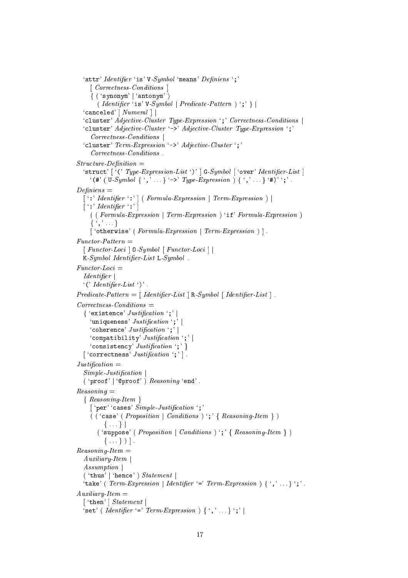```
'attr' Identifier 'is' V-Symbol 'means' Definiens ';'
    [ Correctness-Conditions ]
     \{ ('synonym' | 'antonym')
       (Identi\hat{t}er 'is' V-Sumbol | Predicate-Pattern ) ';' }
  'canceled' \lceil Numeral \rceil \rceil'cluster' Adjective-Cluster Type-Expression ';' Correctness-Conditions
  'cluster' Adjective-Cluster '->' Adjective-Cluster Type-Expression ';'
     Corrections-Conditions \mid'cluster' Term-Expression '->' Adjective-Cluster ';'
     Corrections-Conditions.
Structure\text{-}Definition ='struct' ['(' Type-Expression-List')' ] G-Symbol ['over' Identifier-List]
    '(#' ( U-Symbol \{ ',' \}'->' Type-Expression ) \{ ','.\}'#)'';'
Definitions =\lceil ':' Identifier ':' \rceil ( Formula-Expression | Term-Expression ) |
 \lceil ": ' Identifier ": '
    ( (Formula-Expression | Term-Expression ) 'if' Formula-Expression )\{ \cdots}
    ['otherwise' (Formula-Expression | Term-Expression )].
Function-Pattern =[Function-Loci] 0-Symbol [Function-Loci]K-Symbol Identifier-List L-Symbol.
Function-Loci =Identifier' ('Identifier List ')'.
Predicter-Pattern = [ Identifier-List | R-Symbol | Identifier-List | .
Corrections-Conditions =\{ 'existence' Justification ';' |
    'uniqueness' Justification ';' |
    'coherence' Justification ';' |
    'compatibility' Justification ';' |'consistency' Justification ';' }
  ['correctness' Justification';'].
Justification =Simple\text{-}Justification('proof'] 'Qproof') <i>Reasoning 'end'</i>.Reasoning =\{Reasoning-Item\}['per' 'cases' Simple-Justification ';'
    (('case' (Proposition | Conditions )';' { Reasoning-Item })
         \{ \ldots \}('suppose' (Proposition | Conditions )'; ' { ReasoningItem })\{ \ldots \})].
Reasoning-Item =Auxiliary\text{-}ItemAssumption
  ( 'thus' | 'hence' ) Statement |
  'take' ( Term-Expression | Identifier '=' Term-Expression \{ \cdot, \cdot \}';'.
Auxiliary-Item =['then' | Statement'set' (Identifier '=' Term\text{-}Expression ) { ','...}';' |
```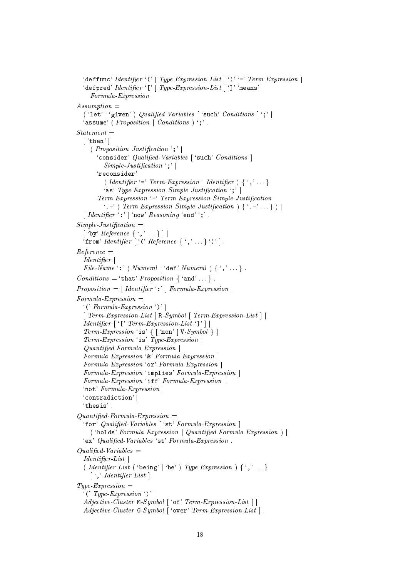```
'deffunc' Identifier '(' [ Type-Expression-List | ')' '=' Term-Expression |'defpred' Identifier '[' | Type-Expression-List | ']' 'means'
     Formula-Expression.
Assumption =('let') 'given') Qualified-Variables ['such' Conditions ]';'
  'assume' (Proposition \mid Conditions)';'.
Statement =\lceil 'then' \rceil(Proposition Justification ';')'consider' Qualified-Variables ['such' Conditions]
         Simple\text{-}Justification : |'reconsider
         (Identifier '=' Term\text{-}Expression \mid Identity ) { ','...}
         'as' Type-Expression Simple-Justification ';'
       Term-Expression '=' Term-Expression Simple-Justification
         \cdot \cdot = \cdot ( Term-Expression Simple-Justification ) { \cdot = \cdot ... } ) |
  \lceil Identifier ':' \rceil 'now' Reasoning 'end' ';'.
Simple\text{-}Justification =\lceil 'by' Reference \{\cdot, \cdot \ldots\}\rceil'from' Identifier ['(' Reference \{ \cdot, \cdot \ldots \}')'].
Reference =IdentifierFile-Name ':' ( Numeral | 'def' Numeral ) { ','...}.
Conditions = 'that' Proposition \{ 'and' ... \} .Proposition = [Identity, \cdot] Formula-Expression.
Formula-Expression =\lvert (' Formula-Expression ')' |
  [Term-Expression-List] R-Symbol [Term-Expression-List]Identifier \lceil '[' Term\text{-}Expression\text{-}List ']' \rceilTerm-Expression 'is' \{ \; \mid \; 'non' \; | \; V\text{-}Symbol \; \} \; |Term-Expression 'is' Type-Expression
  Quantified\text{-}Formula\text{-}ExpressionFormula \textit{-Expression '& Formula \textit{-Expression } |Formula-Expression 'or' Formula-Expression
  Formula-Expression 'implies' Formula-Expression |
  Formula-Expression 'iff' Formula-Expression
  'not' Formula-Expression
  'contradiction'
  'thesis'.
Quantified \text{-} Formula \text{-} Expression ='for' Qualified-Variables ['st' Formula-Expression]
    ( 'holds' Formula-Expression | Quantified-Formula-Expression |'ex' Qualified-Variables 'st' Formula-Expression.
Qualified-Variables =Identifier-List(Identifier-List ('being' | 'be') Type-Expression \} \{','...}
    \lceil ',' Identifier-List \rceil.
Type-Expression ='('Type-Expression')'Adjective-Cluster M-Symbol \lceil 'of' Term-Expression-List \rceilAdjective-Cluster G-Symbol ['over' Term-Expression-List].
```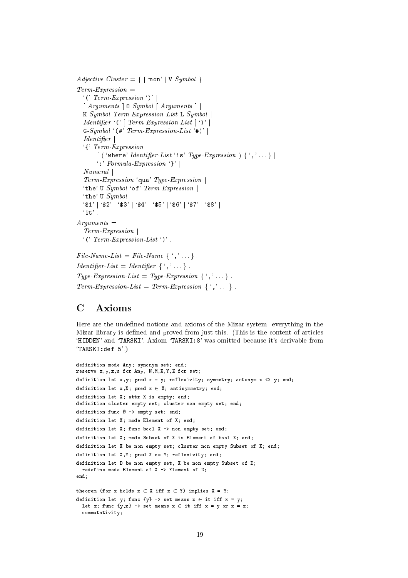```
Adjective-Cluster = { \lceil 'non' | V-Symbol }.
Term\text{-}Expression ='('Term-Expression')' |
  \lceil Arguments \lceil 0-Symbol \lceil Arguments \rceil |
  K-Symbol Term-Expression-List L-Symbol \vertIdentifier '(' \lceil Term-Expression-List \lceil ')' \lceilG-Symbol ( # Term-Expression-List * + ) \midIdentifier\lq\lq Term-Expression
       \left[ ('where' Identifier-List 'is' Type-Expression \left[ {','...}
       \cdot: Formula Expression \cdot \cdot |
  NumeralTerm-Expression 'qua' Type-Expression |
  'the' U-Symbol 'of' Term-Expression |
  'the' U-Symbol
  \frac{16}{31} | '$2' | '$3' | '$4' | '$5' | '$6' | '$7' | '$8' |
  'it'.
Arquments =Term-Expression
  ' (' Term-Expression-List')'.
File-Name-List = File-Name \{\cdot, \cdot, \cdot\}.
Identifier-List = Identifier \{\cdot, \cdot, \cdot\}.
Type-Expression-List = Type-Expression \{\cdot,\cdot\}.
Term-Expression-List = Term-Expression \{ \cdot, \cdot \}.
```
#### $\mathbf C$ Axioms

Here are the undefined notions and axioms of the Mizar system: everything in the Mizar library is defined and proved from just this. (This is the content of articles 'HIDDEN' and 'TARSKI'. Axiom 'TARSKI:8' was omitted because it's derivable from  $'TARSKI: def 5'.)$ 

```
definition mode Any; synonym set; end;
reserve x, y, z, u for Any, N, M, X, Y, Z for set;
definition let x, y; pred x = y; reflexivity; symmetry; antonym x <> y; end;
definition let x, X; pred x \in X; antisymmetry; end;
definition let X: attr X is empty: end:
definition cluster empty set; cluster non empty set; end;
definition func \emptyset -> empty set; end;
definition let X; mode Element of X; end;
definition let X; func bool X -> non empty set; end;
definition let X; mode Subset of X is Element of bool X; end;
definition let X be non empty set; cluster non empty Subset of X; end;
definition let X, Y; pred X c= Y; reflexivity; end;
definition let D be non empty set. X be non empty Subset of D:
 redefine mode Element of X \rightarrow Element of D;
end:
theorem (for x holds x \in X iff x \in Y) implies X = Y;
definition let y; func \{y\} -> set means x \in it iff x = y;
  let z; func \{y, z\} -> set means x \in it iff x = y or x = z;
  commutativity;
```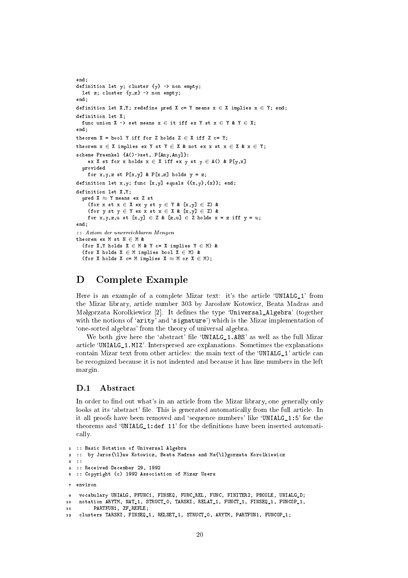```
end;
definition let y; 
luster {y} -> non empty;
 let z; cluster \{y, z\} -> non empty;
end;
definition let X, Y; redefine pred X c= Y means x \in X implies x \in Y; end;
definition let X;
 func union X \rightarrow set means x \in it iff ex Y st x \in Y & Y \in X;
end.
end;
theorem X = bool Y iff for Z holds Z \in X iff Z c= Y;
theorem x \in X implies ex Y st Y \in X & not ex x st x \in X & x \in Y;
scheme Fraenkel {A()->set, P[Any, Any]}:
    ex X st for x holds x \in X iff ex y st y \in A() & P[y,x]
  provided
    for x,y,z st P[x,y] & P[x,z] holds y = z;definition let x, y; func [x,y] equals \{\{x, y\}, \{x\}\}; end;
definition let X,Y;
  pred X \approx Y means ex Z st
    (for x st x \in X ex y st y \in Y & [x,y] \in Z) &
    (for y st y \in Y ex x st x \in X & [x,y] \in Z) &
    for x, y, z, u st [x, y] \in Z \& [z, u] \in Z holds x = z iff y = u;
end:end;
:: Axiom der unerrei
hbaren Mengen
theorem ex M st N \in M &
  (for X, Y holds X \in M & Y c= X implies Y \in M) &
  (for X holds X \in M implies bool X \in M) &
  (for X holds X c= M implies X \approx M or X \in M);
```
## D Complete Example

Here is an example of a complete Mizar text: it's the article 'UNIALG<sub>1</sub>' from the Mizar library, article number 303 by Jarosław Kotowicz, Beata Madras and Małgorzata Korolkiewicz [2]. It defines the type 'Universal\_Algebra' (together with the notions of 'arity' and 'signature') which is the Mizar implementation of `one-sorted algebras' from the theory of universal algebra.

We both give here the 'abstract' file 'UNIALG 1.ABS' as well as the full Mizar arti
le `UNIALG\_1.MIZ'. Interspersed are explanations. Sometimes the explanations contain Mizar text from other articles: the main text of the 'UNIALG<sub>1</sub>' article can be re
ognized be
ause it is not indented and be
ause it has line numbers in the left margin.

### D.1 Abstract

In order to find out what's in an article from the Mizar library, one generally only looks at its 'abstract' file. This is generated automatically from the full article. In it all proofs have been removed and 'sequence numbers' like 'UNIALG 1:5' for the theorems and 'UNIALG 1:def  $11'$  for the definitions have been inserted automatially.

```
1 :: Basi
 Notation of Universal Algebra
2 :: by Jaros{\l}aw Kotowicz, Beata Madras and Ma{\l}gorzata Korolkiewicz
\mathbf{a} \rightarrow4 :: Re
eived De
ember 29, 1992
5 :: Copyright (
) 1992 Asso
iation of Mizar Users
    vocabulary UNIALG, PFUNC1, FINSEQ, FUNC_REL, FUNC, FINITER2, PBOOLE, UNIALG_D;
\Omeganotation ARYTM, NAT_1, STRUCT_0, TARSKI, RELAT_1, FUNCT_1, FINSEQ_1, FUNCOP_1,
10<sup>1</sup>11 PARTFUN1, ZF_REFLE;
12 clusters TARSKI, FINSEQ_1, RELSET_1, STRUCT_0, ARYTM, PARTFUN1, FUNCOP_1;
```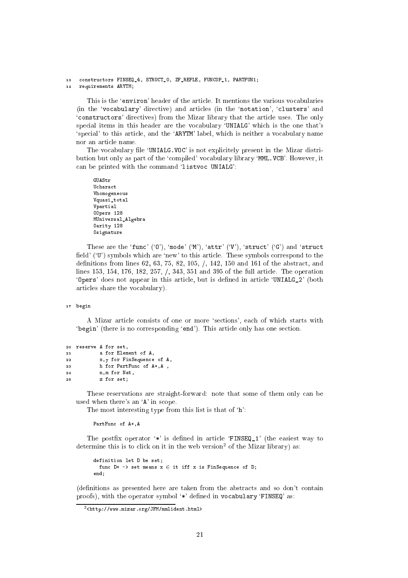#### 13 constructors FINSEQ\_4, STRUCT\_0, ZF\_REFLE, FUNCOP\_1, PARTFUN1; requirements ARYTM;

This is the 'environ' header of the article. It mentions the various vocabularies (in the 'vocabulary' directive) and articles (in the 'notation', 'clusters' and 'constructors' directives) from the Mizar library that the article uses. The only special items in this header are the vocabulary 'UNIALG' which is the one that's 'special' to this article, and the 'ARYTM' label, which is neither a vocabulary name nor an arti
le name.

The vocabulary file 'UNIALG. VOC' is not explicitely present in the Mizar distribution but only as part of the 'compiled' vocabulary library 'MML. VCB'. However, it can be printed with the command 'listvoc UNIALG':

```
GUAStr
Ucharact
Vhomogeneous
Vquasi_total
Vpartial
OOpers 128
MUniversal_Algebra
Oarity 128
Osignature
```
These are the 'func' ('0'), 'mode' ('M'), 'attr' ('V'), 'struct' ('G') and 'struct field' ('U') symbols which are 'new' to this article. These symbols correspond to the definitions from lines 62, 63, 75, 82, 105,  $/$ , 142, 150 and 161 of the abstract, and lines 153, 154, 176, 182, 257, /, 343, 351 and 395 of the full article. The operation 'Opers' does not appear in this article, but is defined in article 'UNIALG\_2' (both arti
les share the vo
abulary).

#### <sup>17</sup> begin

A Mizar article consists of one or more 'sections', each of which starts with 'begin' (there is no corresponding 'end'). This article only has one section.

```
20 reserve A for set,
              a for Element of A.
2122 x,y for FinSequen
e of A,
23 h for PartFun
 of A*,A ,
              n.m for Nat.
2424 n,m for Nat, 1980, 1991, 1992, 1992, 1992, 1992, 1992, 1992, 1992, 1992, 1992, 1992, 1992, 1992, 1992, 1992
25 z for set;
```
These reservations are straight-forward: note that some of them only can be used when there's an 'A' in scope.

The most interesting type from this list is that of 'h':

PartFunc of  $A^*$ , A

The postfix operator  $\dot{\ast}$  is defined in article 'FINSEQ\_1' (the easiest way to determine this is to click on it in the web version- of the mizar horary) as:

```
definition let D be set;
 func D* -> set means x \in it iff x is FinSequence of D;
end:end;
```
(definitions as presented here are taken from the abstracts and so don't contain proofs), with the operator symbol '\*' defined in vocabulary 'FINSEQ' as:

<sup>-&</sup>lt;http://www.mizar.org/JFM/mmlident.html>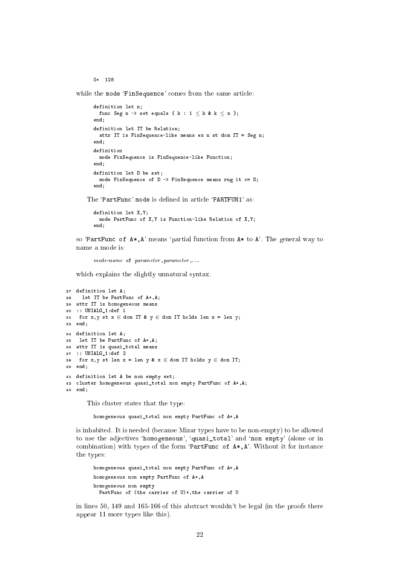$0*$  128

while the mode 'FinSequence' comes from the same article:

```
definition let n;
 func Seg n -> set equals { k : 1 \leq k & k \leq n };
end;
definition let IT be Relation;
 attr IT is FinSequen
e-like means ex n st dom IT = Seg n;
end;
definition
 mode FinSequen
e is FinSequen
e-like Fun
tion;
end;
definition let D be set;
 mode FinSequence of D -> FinSequence means rng it c= D;
end:end;
```
The 'PartFunc' mode is defined in article 'PARTFUN1' as:

```
definition let X.Y:
definition let X,Y;
 mode PartFunc of X, Y is Function-like Relation of X, Y;
end;
```
so 'PartFunc of  $A^*$ , A' means 'partial function from  $A^*$  to A'. The general way to name a mode is:

```
mode-name of parameter, parameter,...
```
which explains the slightly unnatural syntax.

```
27 definition let A;
28 let IT be PartFun
 of A*,A;
29 attr IT is homogeneous means
30 :: UNIALG_1:def 1
31 for x, y st x \in dom IT & y \in dom IT holds len x = len y;
32 end;
34 definition let A;
35 let IT be PartFun
 of A*,A;
36 attr IT is quasi_total means
37 :: UNIALG_1:def 2
38 for x, y st len x = len y & x \in dom IT holds y \in dom IT;
39 end:
39 end;
41 definition let A be non empty set;
42 
luster homogeneous quasi_total non empty PartFun
 of A*,A;
43 end:
43 end;
```
This luster states that the type:

homogeneous quasi\_total non empty PartFun of A\*,A

is inhabited. It is needed (because Mizar types have to be non-empty) to be allowed to use the adjectives 'homogeneous', 'quasi\_total' and 'non empty' (alone or in combination) with types of the form 'PartFunc of  $A*, A'$ . Without it for instance the types:

```
homogeneous quasi_total non empty PartFun
 of A*,A
homogeneous non empty PartFun
 of A*,A
homogeneous non empty
 PartFunc of (the carrier of U)*, the carrier of U
```
in lines 50, 149 and 165-166 of this abstra
t wouldn't be legal (in the proofs there appear 11 more types like this).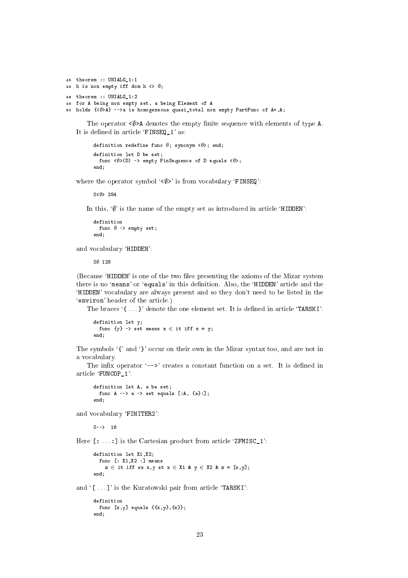```
45 theorem :: UNIALG_1:1
46 h is non empty iff dom h \langle \rangle );
48 theorem :: UNIALG 1:2
49 for A being non empty set, a being Element of A
50 holds {< ()>A} -->a is homogeneous quasi_total non empty PartFunc of A*, A;
```
The operator  $\langle \emptyset \rangle$ A denotes the empty finite sequence with elements of type A. It is defined in article 'FINSEQ\_1' as:

```
definition redefine func \emptyset; synonym <\emptyset>; end;
definition let D be set;
  func \langle \emptyset \rangle(D) -> empty FinSequence of D equals \langle \emptyset \rangle;
end:
```
where the operator symbol  $\langle \phi \rangle$  is from vocabulary 'FINSEQ':

 $0 < 0 > 254$ 

In this,  $\mathcal{P}$  is the name of the empty set as introduced in article 'HIDDEN':

```
definition
  func \emptyset -> empty set;
end:
```
and vocabulary 'HIDDEN':

00 128

(Because 'HIDDEN' is one of the two files presenting the axioms of the Mizar system there is no 'means' or 'equals' in this definition. Also, the 'HIDDEN' article and the 'HIDDEN' vocabulary are always present and so they don't need to be listed in the 'environ' header of the article.)

The braces '{...}' denote the one element set. It is defined in article 'TARSKI':

```
definition let v;
 func \{y\} -> set means x \in it if f x = y;
end:
```
The symbols '{' and '}' occur on their own in the Mizar syntax too, and are not in a vocabulary.

The infix operator  $\left\langle -\right\rangle$  creates a constant function on a set. It is defined in article 'FUNCOP 1':

```
definition let A, a be set;
  func A \rightarrow \infty a \rightarrow set equals [:A, {a} :];
and
```
and vocabulary 'FINITER2':

 $n = -5$  16

Here  $\lceil$ : ...: I is the Cartesian product from article 'ZFMISC 1':

```
definition let X1, X2;
 func [: X1, X2 :] means
    z \in it iff ex x, y st x \in X1 & y \in X2 & z = [x, y];
end.
```
and '[...]' is the Kuratowski pair from article 'TARSKI':

```
definition
 func [x, y] equals \{\{x, y\}, \{x\}\};end;
```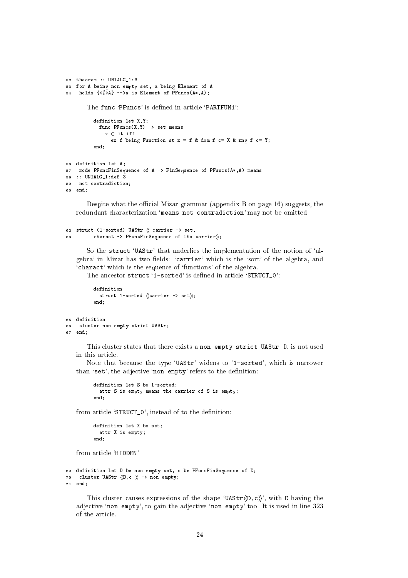```
52 theorem :: UNIALG_1:3
53 for A being non empty set, a being Element of A
54 holds \{\langle \emptyset \rangle A\} -->a is Element of PFuncs(A*,A);
           The func 'PFuncs' is defined in article 'PARTFUN1':
              definition let X,Y;
                 func PFunc(X, Y) \rightarrow set meansx \in \mathfrak{i}t iff
                     x 2 it is in a set of the set of the set of the set of the set of the set of the set of the set of the set of the set of the set of the set of the set of the set of the set of the set of the set of the set of the set of 
                        ex f being Function st x = f & dom f c= X & rng f c= Y;
              end;
56 definition let A;
57 mode PFun
FinSequen
e of A -> FinSequen
e of PFun
s(A*,A) means
58 :: UNIALG_1:def 3
59 not 
ontradi
tion;
so end:
60 end;
```
Despite what the official Mizar grammar (appendix B on page 16) suggests, the redundant characterization 'means not contradiction' may not be omitted.

```
62 struct (1-sorted) UAStr \langle \rangle carrier -> set,
63 charact -> PFuncFinSequence of the carrier\rangle;
```
So the struct 'UAStr' that underlies the implementation of the notion of 'algebra' in Mizar has two fields: 'carrier' which is the 'sort' of the algebra, and 'charact' which is the sequence of 'functions' of the algebra.

The ancestor struct '1-sorted' is defined in article 'STRUCT\_0':

```
definition
  struct 1-sorted \langle\langle \text{carrier -& set} \rangle\rangle;end:end;
```

```
65 definition
66 
luster non empty stri
t UAStr;
67 end;
```
This cluster states that there exists a non empty strict UAStr. It is not used in this arti
le.

Note that because the type 'UAStr' widens to '1-sorted', which is narrower than 'set', the adjective 'non empty' refers to the definition:

```
definition let S be 1-sorted;
 attr S is empty means the 
arrier of S is empty;
end.
end;
```
from article 'STRUCT 0', instead of to the definition:

```
definition let X be set;
 attr X is empty;
end:
end;
```
from arti
le `HIDDEN'.

```
69 definition let D be non empty set, c be PFuncFinSequence of D;
70 cluster UAStr \langle D, c \rangle -> non empty;
71 end;
```
This cluster causes expressions of the shape 'UAStr $\langle D, c \rangle$ ', with D having the adjective 'non empty', to gain the adjective 'non empty' too. It is used in line 323 of the arti
le.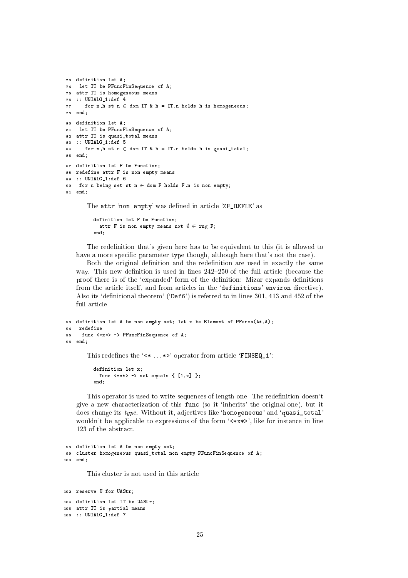```
73 definition let A;
74 let IT be PFun
FinSequen
e of A;
75 attr IT is homogeneous means
76 :: UNIALG_1:def 4
77 for n,h st n \in dom IT & h = IT.n holds h is homogeneous;
78 end:
78 end;
80 definition let A;
81 let IT be PFun
FinSequen
e of A;
82 attr IT is quasi_total means
83 :: UNIALG_1:def 5
    for n,h st n \in dom IT & h = IT.n holds h is quasi_total;
84
85 end;
87 definition let F be Function;
88 redefine attr F is non-empty means
89 :: UNIALG_1:def 6
90 for n being set st n \in dom F holds F.n is non empty:
91 end;
```
The attr 'non-empty' was defined in article 'ZF\_REFLE' as:

```
definition let F be Function;
  attr F is non-empty means not \emptyset \in \text{rng } F;
end:
```
end;

The redefinition that's given here has to be equivalent to this (it is allowed to have a more specific parameter type though, although here that's not the case).

Both the original definition and the redefinition are used in exactly the same way. This new definition is used in lines  $242-250$  of the full article (because the proof there is of the 'expanded' form of the definition: Mizar expands definitions from the article itself, and from articles in the 'definitions' environ directive). Also its 'definitional theorem' (' $\Delta$ ef6') is referred to in lines 301, 413 and 452 of the full article.

```
93 definition let A be non empty set; let x be Element of PFuncs(A*, A);
94redefine
95 func <*x*> -> PFuncFinSequence of A;
as end:
96 end;
       This redefines the '<* ... *>' operator from article 'FINSEQ_1':
```

```
definition let x:
  definition let x;
      func \langle*x*> -> set equals { [1, x] };
end:
  end; and the contract of the contract of the contract of the contract of the contract of the contract of the contract of the contract of the contract of the contract of the contract of the contract of the contract of the c
```
This operator is used to write sequences of length one. The redefinition doesn't give a new hara
terization of this fun (so it `inherits' the original one), but it does change its type. Without it, adjectives like 'homogeneous' and 'quasi\_total' wouldn't be applicable to expressions of the form  $\forall x \times \rangle$ , like for instance in line 123 of the abstra
t.

```
98 definition let A be non empty set;
99 
luster homogeneous quasi_total non-empty PFun
FinSequen
e of A;
100 end;
```
This luster is not used in this arti
le.

```
102 reserve U for UAStr;
104 definition let IT be UAStr;
105 attr IT is partial means
106 :: UNIALG_1:def 7
```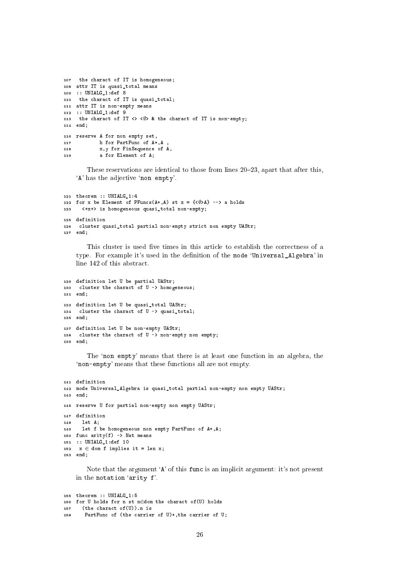```
107 the charact of IT is homogeneous;
108 attr IT is quasi_total means
109 :: UNIALG_1:def 8
110 the charact of IT is quasi_total;
111 attr IT is non-empty means
112 :: UNIALG_1:def 9
113 the charact of IT <> <\emptyset> & the charact of IT is non-empty;
114 end;
116 reserve A for non empty set,
117 h for PartFunc of A*, A
           x, y for FinSequence of A,
118
119a for Element of A:
119 a for Element of As
```
These reservations are identical to those from lines 20–23, apart that after this, 'A' has the adjective 'non empty'.

```
121 theorem :: UNIALG_1:4
122 for x be Element of PFuncs(A*, A) st x = {\langle \emptyset \rangleA} --> a holds
       123 <*x*> is homogeneous quasi_total non-empty;
123125 definition
126 
luster quasi_total partial non-empty stri
t non empty UAStr;
127 end;
```
This cluster is used five times in this article to establish the correctness of a type. For example it's used in the definition of the mode 'Universal\_Algebra' in line 142 of this abstract.

```
129 definition let U be partial UAStr;
130 cluster the charact of U -> homogeneous;
131 end;
133 definition let U be quasi_total UAStr;
134 cluster the charact of U -> quasi_total;
135 end;
137 definition let U be non-empty UAStr;
138 cluster the charact of U -> non-empty non empty;
139 end;
```
The 'non empty' means that there is at least one function in an algebra, the 'non-empty' means that these functions all are not empty.

```
141 definition
142 mode Universal_Algebra is quasi_total partial non-empty non empty UAStr;
143 end;
145 reserve U for partial non-empty non empty UAStr;
147 definition
<u>148 in A</u>
149 let f be homogeneous non empty PartFunc of A^*, A;
150 func arity(f) -> Nat means
151 :: UNIALG_1:def 10
152 x \in dom f implies it = len x;
153 end;
```
Note that the argument 'A' of this func is an implicit argument: it's not present in the notation `arity f'.

```
155 theorem :: UNIALG_1:5
156 for U holds for n st n\in dom the charact of (U) holds
157 (the charact of(U)).n is
158 PartFun
 of (the 
arrier of U)*,the 
arrier of U;
```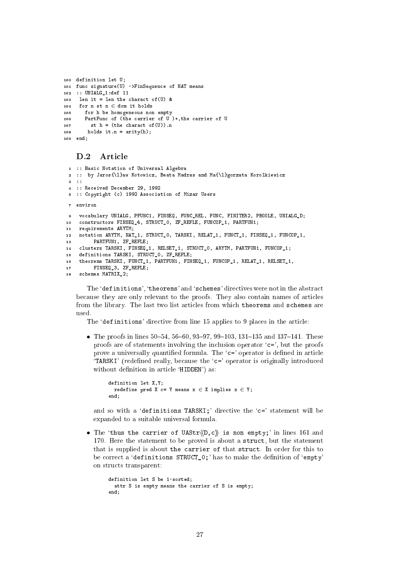```
160 definition let U:
161 func signature(U) ->FinSequence of NAT means
162 :: UNIALG_1:def 11
163
     len it = len the charact of (U) &
    for n st n \in dom it holds
164
       for h be homogeneous non empty
165
       PartFunc of (the carrier of U)*, the carrier of U
166st h = (the character of(U)).n167
        holds it.n = arity(h);
168
169 end:
```
#### $D.2$ Article

```
1 :: Basic Notation of Universal Algebra
 2 :: by Jaros{\l}aw Kotowicz, Beata Madras and Ma{\l}gorzata Korolkiewicz
3.11:: Received December 29, 1992
\overline{4}5 :: Copyright (c) 1992 Association of Mizar Users
7 environ
    vocabulary UNIALG, PFUNC1, FINSEQ, FUNC REL, FUNC, FINITER2, PBOOLE, UNIALG D:
\alphaconstructors FINSEQ_4, STRUCT_0, ZF_REFLE, FUNCOP_1, PARTFUN1;
10<sup>10</sup>11 requirements ARYTM;
   notation ARYTM, NAT_1, STRUCT_0, TARSKI, RELAT_1, FUNCT_1, FINSEQ_1, FUNCOP_1,
12PARTFUN1, ZF REFLE:
13
   clusters TARSKI, FINSEQ_1, RELSET_1, STRUCT_0, ARYTM, PARTFUN1, FUNCOP_1;
14definitions TARSKI, STRUCT_0, ZF_REFLE;
15
    theorems TARSKI, FUNCT_1, PARTFUN1, FINSEQ_1, FUNCOP_1, RELAT_1, RELSET_1,
16FINSEQ_3, ZF_REFLE;
17schemes MATRIX<sub>2</sub>:
18
```
The 'definitions', 'theorems' and 'schemes' directives were not in the abstract because they are only relevant to the proofs. They also contain names of articles from the library. The last two list articles from which theorems and schemes are used.

The 'definitions' directive from line 15 applies to 9 places in the article:

• The proofs in lines 50–54, 56–60, 93–97, 99–103, 131–135 and 137–141. These proofs are of statements involving the inclusion operator  $c =$ , but the proofs prove a universally quantified formula. The 'c=' operator is defined in article 'TARSKI' (redefined really, because the 'c=' operator is originally introduced without definition in article 'HIDDEN') as:

```
definition let X, Y;
 redefine pred X c= Y means x \in X implies x \in Y;
end:
```
and so with a 'definitions TARSKI:' directive the 'c=' statement will be expanded to a suitable universal formula.

• The 'thus the carrier of UAStr $\langle D, c \rangle$  is non empty;' in lines 161 and 170. Here the statement to be proved is about a struct, but the statement that is supplied is about the carrier of that struct. In order for this to be correct a 'definitions STRUCT\_0;' has to make the definition of 'empty' on structs transparent:

```
definition let S be 1-sorted:
 attr S is empty means the carrier of S is empty;
end:
```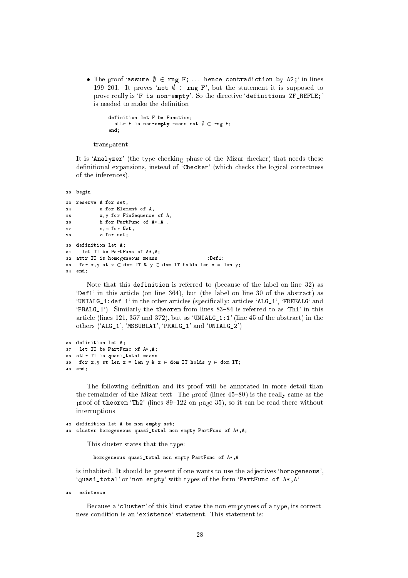• The proof 'assume  $\emptyset \in \text{rng } F$ ; ... hence contradiction by A2;' in lines 199-201. It proves 'not  $\emptyset \in \text{rng } F'$ , but the statement it is supposed to prove really is 'F is non-empty'. So the directive 'definitions ZF\_REFLE;' is needed to make the definition:

```
definition let F be Function;
  attr F is non-empty means not \emptyset \in \text{rng } F;
end;
```
transparent.

It is 'Analyzer' (the type checking phase of the Mizar checker) that needs these definitional expansions, instead of 'Checker' (which checks the logical correctness of the inferen
es).

```
20 begin
23 reserve A for set,
         a for Element of \Delta2424 a for Element of A,
25 x,y for FinSequen
e of A,
26 h for PartFun
 of A*,A ,
27 n,m for Nat, 198
28 z for set;
30 definition let A;
31 let IT be PartFun
 of A*,A;
32 attr IT is homogeneous means :Def1:
33 for x, y st x \in dom IT & y \in dom IT holds len x = \text{len } y;
----
```
Note that this definition is referred to (be
ause of the label on line 32) as 'Def1' in this article (on line 364), but (the label on line 30 of the abstract) as 'UNIALG\_1:def 1' in the other articles (specifically: articles 'ALG\_1', 'FREEALG' and  $'PRALG_1'$ ). Similarly the theorem from lines 83-84 is referred to as  $'Tn1'$  in this article (lines 121, 357 and 372), but as 'UNIALG<sub>1:1</sub>' (line 45 of the abstract) in the others ('ALG\_1', 'MSSUBLAT', 'PRALG\_1' and 'UNIALG\_2').

```
36 definition let A;
37 let IT be PartFun
 of A*,A;
38 attr IT is quasi_total means
39
    for x,y st len x = \text{len } y \& x \in \text{dom IT holds } y \in \text{dom IT};40 end;
```
The following definition and its proof will be annotated in more detail than the remainder of the Mizar text. The proof (lines  $45-80$ ) is the really same as the proof of theorem 'Th2' (lines  $89-122$  on page 35), so it can be read there without interruptions.

```
42 definition let A be non empty set;
43 
luster homogeneous quasi_total non empty PartFun
 of A*,A;
```
This luster states that the type:

homogeneous quasi\_total non empty PartFun of A\*,A

is inhabited. It should be present if one wants to use the adjectives 'homogeneous', 'quasi\_total' or 'non empty' with types of the form 'PartFunc of  $A*, A'.$ 

 $AA$ existence

> Because a 'cluster' of this kind states the non-emptyness of a type, its correctness condition is an 'existence' statement. This statement is: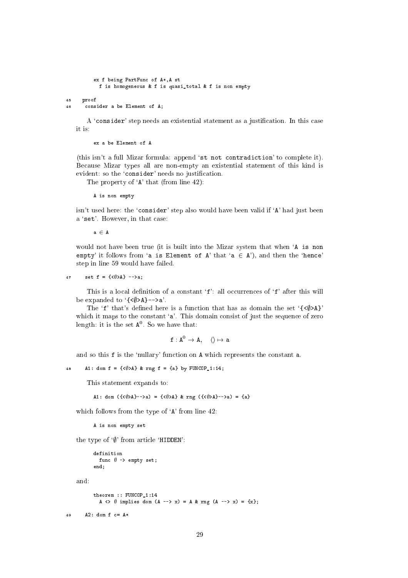```
ex f being PartFun
 of A*,A st
          f is homogeneous & f is quasi_total & f is non empty
45 proof
46 
onsider a be Element of A;
```
A 'consider' step needs an existential statement as a justification. In this case it is:

ex a be Element of A

(this isn't a full Mizar formula: append 'st not contradiction' to complete it). Be
ause Mizar types all are non-empty an existential statement of this kind is evident: so the 'consider' needs no justification.

The property of 'A' that (from line 42):

A is non empty

isn't used here: the 'consider' step also would have been valid if 'A' had just been a 'set'. However, in that case:

 $a \in A$ 

would not have been true (it is built into the Mizar system that when `A is non empty' it follows from 'a is Element of A' that 'a  $\in$  A'), and then the 'hence' step in line 59 would have failed.

$$
47 \qquad \text{set } f = \{\langle \emptyset \rangle A\} \quad \text{->a};
$$

This is a local definition of a constant 'f': all occurrences of 'f' after this will be expanded to  $\{\langle \phi \rangle A\}$ -->a'.

The 'f' that's defined here is a function that has as domain the set  $\{\langle \emptyset \rangle A\}$ ' which it maps to the constant 'a'. This domain consist of just the sequence of zero length: it is the set **A**<sup>2</sup> So we have that:

 $\texttt{I}: \texttt{A} \rightarrow \texttt{A}, \quad \langle \, \rangle \mapsto \texttt{a}$ 

and so this f is the 'nullary' function on A which represents the constant a.

```
A1: dom f = {\langle \phi \rangle A} & rng f = \{a\} by FUNCOP_1:14;
48
```
This statement expands to:

A1: dom  $({\{\langle \emptyset \rangle A \}--\rangle a) = {\{\langle \emptyset \rangle A \}}$  & rng  $({\{\langle \emptyset \rangle A \}--\rangle a) = {a}$ 

which follows from the type of 'A' from line 42:

A is non empty set

the type of  $\mathcal{V}$  from article 'HIDDEN':

```
definition
  func \emptyset -> empty set;
end;
```
and:

```
theorem :: FUNCOP_1:14
  A \langle> \emptyset implies dom (A --> x) = A & rng (A --> x) = {x};
```
<sup>49</sup> A2: dom f = A\*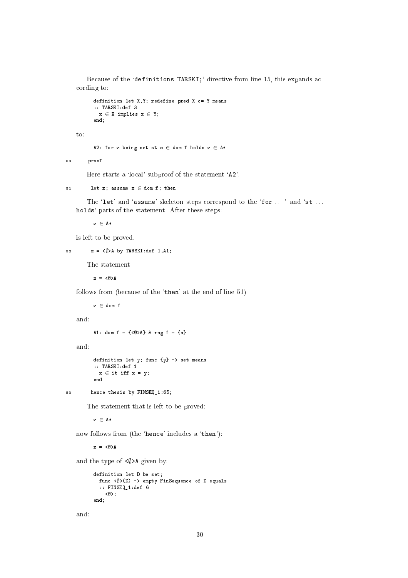Because of the 'definitions TARSKI;' directive from line 15, this expands acording to:

```
definition let X, Y; redefine pred X c= Y means
:: TARSKI:def 3
x \in X implies x \in Y;
andend;
```
to:

A2: for z being set st  $z \in$  dom f holds  $z \in A*$ 

<sup>50</sup> proof  $50$ 

Here starts a 'local' subproof of the statement 'A2'.

```
let z; assume z \in dom f; then
K.
```
The 'let' and 'assume' skeleton steps correspond to the 'for ...' and 'st... holds' parts of the statement. After these steps:

 $z \in A*$ 

is left to be proved.

```
52 z = \langle \emptyset \rangleA by TARSKI:def 1,A1;
```
The statement:

 $z = \langle \emptyset \rangle A$ 

follows from (because of the 'then' at the end of line 51):

 $z \in$  dom f

and:

A1: dom f =  $\{\langle \emptyset \rangle A\}$  & rng f =  $\{a\}$ 

and:

```
definition let y; func \{y\} -> set means
:: TARSKI:def 1
 x \in it iff x = y;
end
```
<sup>53</sup> hen
e thesis by FINSEQ\_1:65;

The statement that is left to be proved:

 $z \in A*$ 

now follows from (the 'hence' includes a 'then'):

 $z = \langle \emptyset \rangle A$ 

and the type of  $\langle \emptyset \rangle$ A given by:

```
definition let D be set;
  func \langle x \rangle (D) -> empty FinSequence of D equals
  :: FINSEQ_1:def 6
     \langle \emptyset \rangle:
end;
```
and: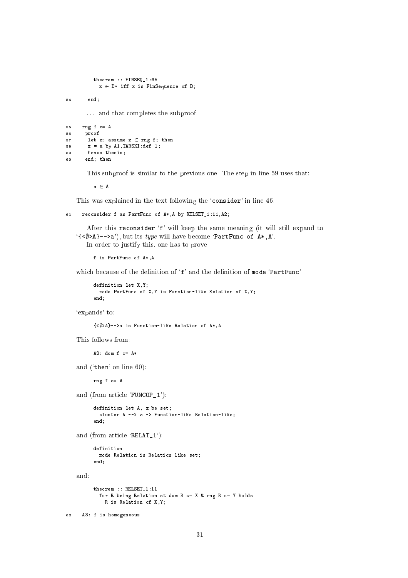```
theorem :: FINSEQ_1:65
 x \in D* iff x is FinSequence of D;
```
 $end:$  $54$  $\sim$  end;  $\sim$  end;  $\sim$ 

. . . and that ompletes the subproof.

```
55 rng f c = A56 proof
57 let z; assume z \in rng f; then
58 z = a by A1, TARSKI: def 1;59 hen
e thesis;
60 end; then
```
This subproof is similar to the previous one. The step in line 59 uses that:

 $a \in A$ 

This was explained in the text following the 'consider' in line 46.

```
61reconsider f as PartFunc of A*, A by RELSET_1:11, A2;
```
After this reconsider 'f' will keep the same meaning (it will still expand to '{ $\langle \emptyset \rangle$ A}-->a'), but its *type* will have become 'PartFunc of A\*, A'. In order to justify this, one has to prove:

f is PartFun of A\*,A

which because of the definition of 'f' and the definition of mode 'PartFunc':

```
definition let X,Y;
 mode PartFunc of X, Y is Function-like Relation of X, Y;
end;
```
`expands' to:

```
\{\langle \emptyset \rangle A \}-->a is Function-like Relation of A*, A
```
This follows from:

 $A2: dom f c = A*$ 

and ('then' on line  $60$ ):

 $rng f c = A$ 

and (from article 'FUNCOP 1'):

```
definition let A, z be set;

luster A --> z -> Fun
tion-like Relation-like;
end:end;
```
and (from article 'RELAT\_1'):

```
mode Relation is Relation-like set;
end:
   end; and the contract of the contract of the contract of the contract of the contract of the contract of the contract of the contract of the contract of the contract of the contract of the contract of the contract of the c
```
and:

```
theorem :: RELSET_1:11
 for R being Relation st dom R c = X & rng R c = Y holds
    R is Relation of X,Y;
```
<sup>62</sup> A3: f is homogeneous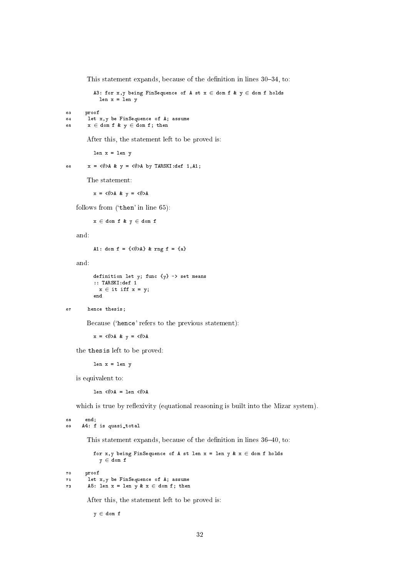This statement expands, because of the definition in lines 30-34, to:

A3: for x, y being FinSequence of A st  $x \in$  dom f &  $y \in$  dom f holds len  $x = len y$ 

<sup>63</sup> proof <sup>64</sup> let x,y be FinSequen
e of A; assume 65  $x \in \text{dom } f \& y \in \text{dom } f; \text{ then}$ 

After this, the statement left to be proved is:

len x = len y

66  $x = \langle \emptyset \rangle A \& y = \langle \emptyset \rangle A$  by TARSKI:def 1, A1;

The statement:

 $x = \langle \emptyset \rangle A \& v = \langle \emptyset \rangle A$ 

follows from ('then' in line 65):

 $x \in$  dom f &  $y \in$  dom f

and:

A1: dom  $f = {\langle \langle \emptyset \rangle A \rangle}$  & rng  $f = {\{a\}}$ 

and:

```
definition let y; func \{y\} -> set means
:: TARSKI:def 1
 x \in it iff x = y;
en d
```

```
67 hen
e thesis;
```
Because ('hence' refers to the previous statement):

 $x = \langle \emptyset \rangle A \& y = \langle \emptyset \rangle A$ 

the thesis left to be proved:

len  $x = len y$ 

is equivalent to:

len  $\langle x \rangle$  = len  $\langle x \rangle$ 

which is true by reflexivity (equational reasoning is built into the Mizar system).

**BR**  $end:$ <sup>68</sup> end; <sup>69</sup> A4: f is quasi\_total

70  $72$  This statement expands, because of the definition in lines  $36-40$ , to:

for x, y being FinSequence of A st len  $x = len$  y &  $x \in dom$  f holds  $y \in$  dom f <sup>70</sup> proof <sup>71</sup> let x,y be FinSequen
e of A; assume A5: len  $x = \text{len } y \& x \in \text{dom } f; \text{ then}$ 

After this, the statement left to be proved is:

 $y \in$  dom f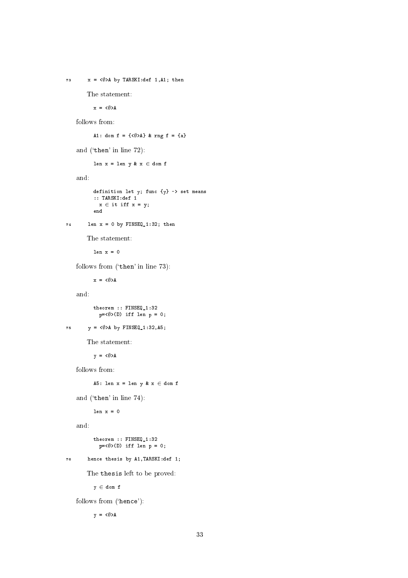```
The statement:
           x = \langle \emptyset \rangle Afollows from:
           A1: dom f = \{\langle \emptyset \rangle A\} & rng f = \{a\}and ('then' in line 72):
           len x = len y & x \in dom fand:
           definition let y; func \{y\} -> set means
           :: TARSKI:def 1
            x \in it iff x = y;
           end
74 len x = 0 by FINSEQ_1:32; then
        The statement:
           len x = 0follows from ('then' in line 73):
           x = \langle \emptyset \rangle Aand:
           theorem :: FINSEQ_1:32
             p=<math>\emptyset</math>>(D) iff len p = 0;75 y = \langle \emptyset \rangle A by FINSEQ 1:32, A5;
        The statement:
           y = \langle \emptyset \rangle Afollows from:
           A5: len x = len y & x \in dom fand ('then' in line 74):
           len x = 0and:
           theorem :: FINSEQ_1:32
             p=<math>\emptyset</math>>(D) iff len p = 0;76 hen
e thesis by A1,TARSKI:def 1;
        The thesis left to be proved:
           y \in dom f
    follows from ('hence'):
           y = \langle \emptyset \rangle A
```
73  $x = \langle \emptyset \rangle$ A by TARSKI:def 1,A1; then

```
33
```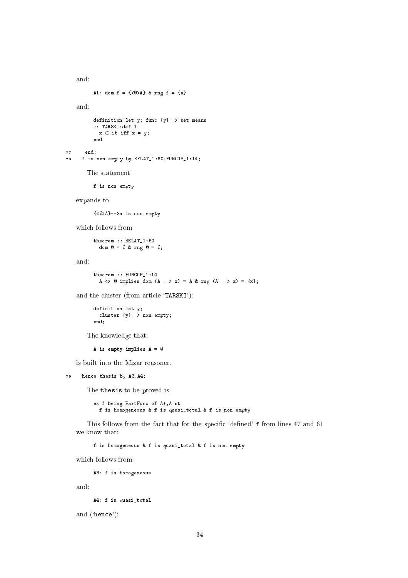```
A1: dom f = \{\langle \emptyset \rangle A\} & rng f = \{a\}and:
          definition let y; func {y} -> set means
          :: TARSKI:def 1
           x \in it iff x = y;
          end
77 end;
78 f is non empty by RELAT_1:60,FUNCOP_1:14;
       The statement:
          f is non empty
   expands to:
          \{\langle\emptyset\rangle A\}-->a is non empty
   which follows from:
          theorem :: RELAT_1:60
            dom \emptyset = \emptyset & rng \emptyset = \emptyset;
   and:
          theorem :: FUNCOP_1:14
            A \langle> \emptyset implies dom (A --> x) = A & rng (A --> x) = {x};
   and the cluster (from article 'TARSKI'):
          definition let y;
            cluster {y} -> non empty;
          end;
       The knowledge that:
          A is empty implies A = \emptysetis built into the Mizar reasoner.
    hence thesis by A3, A4;
79
       The thesis to be proved is:
          ex f being PartFun
 of A*,A st
            f is homogeneous & f is quasi_total & f is non empty
       This follows from the fact that for the specific 'defined' f from lines 47 and 61
   we know that:
          f is homogeneous & f is quasi_total & f is non empty
   which follows from:
          A3: f is homogeneous
```
and:

and:

A4: f is quasi\_total

and ('hence'):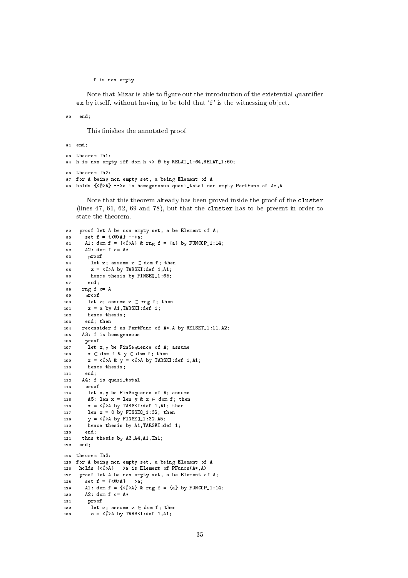f is non empty

Note that Mizar is able to figure out the introduction of the existential quantifier ex by itself, without having to be told that 'f' is the witnessing object.

<sup>80</sup> end;

This finishes the annotated proof.

```
81 end;
83 theorem Th1:
84 h is non empty iff dom h <> \emptyset by RELAT_1:64, RELAT_1:60;
86 theorem Th2:
87 for A being non empty set, a being Element of A
88 holds \{\langle\emptyset\rangle A\} -->a is homogeneous quasi_total non empty PartFunc of A*, A
```
Note that this theorem already has been proved inside the proof of the cluster (lines 47, 61, 62, 69 and 78), but that the luster has to be present in order to state the theorem.

```
89 proof let A be non empty set, a be Element of A;
 90 set f = \{\langle \emptyset \rangle A\} -->a;
 91 A1: dom f = {\langle \phi \rangle A} & rng f = {a} by FUNCOP_1:14;
 92 A2: dom f c= A*
 93 proof
          let z; assume z \in dom f; then
 0495 z = \langle \emptyset \rangle A by TARSKI: def 1, A1;
          hence thesis by FINSEQ 1:65:
 9697 end;
 98 rng f c= A
 99 proof
100 let z; assume z \in rng\ f; then
101 z = a by A1, TARSKI: def 1;
102102 hen
e thesis;
103 end; then
104 reconsider f as PartFunc of A*, A by RELSET 1:11, A2;
105 A3: f is homogeneous
106 proof
107 let x,y be FinSequen
e of A; assume
108 x \in \text{dom } f \text{ } k \text{ } y \in \text{dom } f; \text{ then}109 x = \langle \emptyset \rangleA & y = \langle \emptyset \rangleA by TARSKI:def 1,A1;
110
110 hen
e thesis;
111 end;
112 A4: f is quasi_total
113 proof
114 let x,y be FinSequen
e of A; assume
115 A5: len x = \text{len } y \& x \in \text{dom } f; \text{ then }116 x = \langle \emptyset \rangle A by TARSKI:def 1, A1; then
117 len x = 0 by FINSEQ 1:32; then
         y = \langle \emptyset \rangleA by FINSEQ_1:32,A5;
118
119 hen
e thesis by A1,TARSKI:def 1;
120 end;
121 thus thesis by A3,A4,A1,Th1;
122end:125 for A being non empty set, a being Element of A
126 holds \{\langle \emptyset \rangle A\} -->a is Element of PFuncs(A*, A)
127 proof let A be non empty set, a be Element of A;
128 set f = {\langle \langle \phi \rangle A \rangle} -->a;
129 A1: dom f = {\langle \phi \rangle A} & rng f = {a} by FUNCOP_1:14;
130 A2: dom f c= A*
131 proof
132 let z; assume z 2 dom f; then
133 z = \langle \emptyset \rangle A by TARSKI:def 1, A1;
```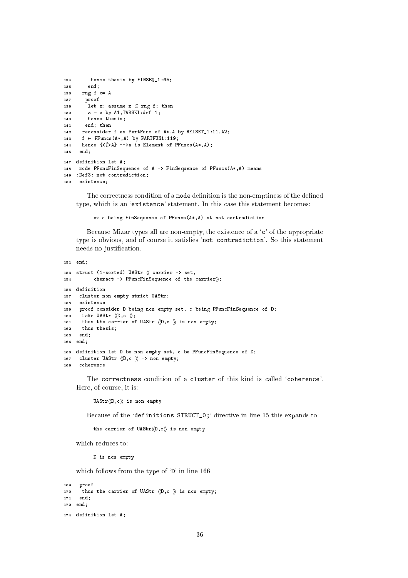```
134 hen
e thesis by FINSEQ_1:65;
135 end;
136 rng f c= A
137 proof
138 let z; assume z \in \text{rng } f; then
139 z = a \text{ by } A1, \text{TARSKI}: \text{def } 1;140 hence thesis;
141 end; then
142 re
onsider f as PartFun
 of A*,A by RELSET_1:11,A2;
143 f \in \text{PFunctions}(A*, A) by PARTFUN1:119;
144 hence \{\langle \emptyset \rangle A\} -->a is Element of PFuncs(A*,A);
145 end;
147 definition let A;
    mode PFuncFinSequence of A -> FinSequence of PFuncs(A*,A) means
148149 : Def3: not contradiction;
150 existence:
```
The correctness condition of a mode definition is the non-emptiness of the defined type, which is an 'existence' statement. In this case this statement becomes:

ex c being FinSequence of PFuncs(A\*, A) st not contradiction

Because Mizar types all are non-empty, the existence of a 'c' of the appropriate type is obvious, and of course it satisfies 'not contradiction'. So this statement needs no justification.

```
151 end;
153 struct (1-sorted) UAStr \langle\langle carrier -> set,
154 charact -> PFuncFinSequence of the carrier);
156 definition
157 
luster non empty stri
t UAStr;
158 existen
e
159 proof 
onsider D being non empty set, 
 being PFun
FinSequen
e of D;
160 take UAStr \langle D, c \rangle;
161 thus the carrier of UAStr \langle D, c \rangle is non empty;
     thus thesis:
162162 thus thesis;
163 end;
164 end;
166 definition let D be non empty set, c be PFuncFinSequence of D;
167 cluster UAStr \langle D, c \rangle -> non empty;
168
     coherence
```
The correctness condition of a cluster of this kind is called 'coherence'. Here, of ourse, it is:

 $UAST\langle\langle D, c\rangle\rangle$  is non empty

Because of the 'definitions STRUCT\_0;' directive in line 15 this expands to:

```
the carrier of UAStr\langle D, c \rangle is non empty
```
which reduces to:

D is non empty

which follows from the type of 'D' in line 166.

```
169 proof
170 thus the carrier of UAStr \langle D, c \rangle is non empty;
171 end;
172 end;
174 definition let A;
```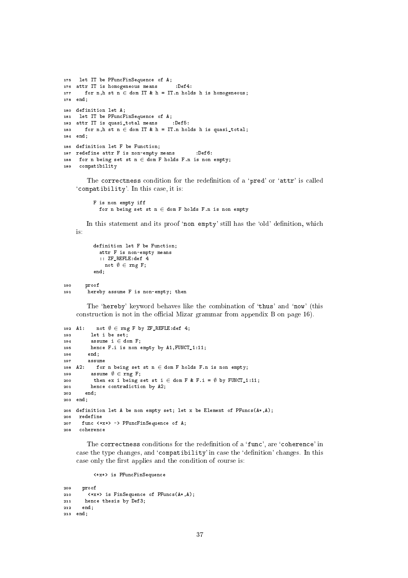```
175 let IT be PFun
FinSequen
e of A;
176 attr IT is homogeneous means
                                     :Def4:
177 for n,h st n \in dom IT & h = IT.n holds h is homogeneous;
178 end;
180 definition let A;
181 let IT be PFun
FinSequen
e of A;
182 attr IT is quasi_total means :Def5:
183 for n, h st n \in dom IT & h = IT.n holds h is quasi_total;
184 end;
186 definition let F be Function;
187 redefine attr F is non-empty means :Def6:
188 for n being set st n \in dom F holds F.n is non empty;
189 
ompatibility
```
The correctness condition for the redefinition of a 'pred' or 'attr' is called 'compatibility'. In this case, it is:

```
F is non empty iff
  for n being set st n \in dom F holds F.n is non empty
```
In this statement and its proof 'non empty' still has the 'old' definition, which  $i_{\rm S}$ 

```
definition let F be Function;
             attr F is non-empty means
              :: ZF_REFLE:def 4
                not \emptyset \in \texttt{rng} \ F;
           end;
190
        proof
         hereby assume F is non-empty; then
```
The 'hereby' keyword behaves like the combination of 'thus' and 'now' (this construction is not in the official Mizar grammar from appendix B on page 16).

```
192 A1: not \emptyset \in \text{rng } F by ZF_REFLE:def 4;
193 let i be set;
194 assume i \in dom F;
195 hen
e F.i is non empty by A1,FUNCT_1:11;
196 end;
198 A2: for n being set st n \in dom F holds F.n is non empty;
199
          assume \emptyset \in \text{rng } F;
200 then ex i being set st i \in dom F & F.i = \emptyset by FUNCT_1:11;
201 hen
e 
ontradi
tion by A2;
       end:
202 end;
203 end;
205 definition let A be non empty set; let x be Element of PFuncs(A*, A);
207 fun
 <*x*> -> PFun
FinSequen
e of A;
```
The correctness conditions for the redefinition of a 'func', are 'coherence' in case the type changes, and 'compatibility' in case the 'definition' changes. In this case only the first applies and the condition of course is:

<\*x\*> is PFun
FinSequen
e

208

coherence

1.01

```
209 proof
210 <*x*> is FinSequen
e of PFun
s(A*,A);
211 hen
e thesis by Def3;
<u>22 end;</u>
213 end;
```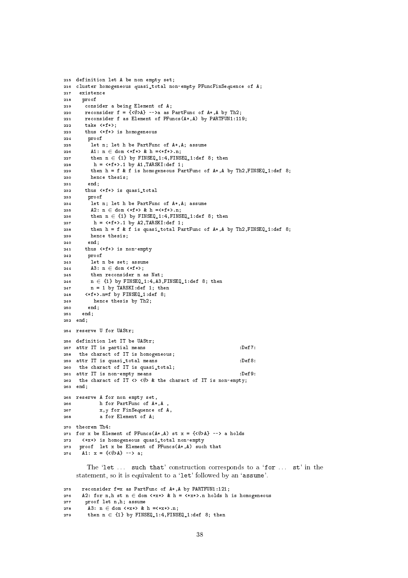```
215 definition let A be non empty set;
216 
luster homogeneous quasi_total non-empty PFun
FinSequen
e of A;
217 existen
e
218 proof
219 
onsider a being Element of A;
       reconsider f = \{ \langle \emptyset \rangle \} -->a as PartFunc of A^*, A by Th2;
220reconsider f as Element of PFuncs(A*, A) by PARTFUN1:119;
221222 take <*f*>;
223 thus <*f*> is homogeneous
224 proof
225 let n; let h be PartFun
 of A*,A; assume
226 A1: n \in dom \iff x + f \iff k h = \iff f * > n;227 then n \in \{1\} by FINSEQ_1:4, FINSEQ_1:def 8; then
          h = \langle *f * \rangle.1 by A1, TARSKI:def 1;
228then h = f \& f is homogeneous PartFunc of A*, A by Th2, FINSEQ 1:def 8;
229
230 hen
e thesis;
231 end;
232 thus <*f*> is quasi_total
233 proof
         let n; let h be PartFunc of A^*, A; assume
234
235 A2: n \in \text{dom} \iff f * > k \text{ h} = \iff f * > n;then n \in \{1\} by FINSEQ_1:4, FINSEQ_1:def 8; then
236
237
          h = \langle *f* \rangle.1 by A2, TARSKI:def 1;
238 then h = f & f is quasi_total PartFunc of A*, A by Th2, FINSEQ_1:def 8;
239 hen
e thesis;
240 end;
241 thus <*f*> is non-empty
242proof
243 let n be set; assume
244 A3: n \in \text{dom} \leq f*>;
245 then re
onsider n as Nat;
246 n \in {1} by FINSEQ_1:4,A3, FINSEQ_1:def 8; then
247 n = 1 by TARSKI:def 1; then
248 <*f*>.n=f by FINSEQ_1:def 8;
249 hen
e thesis by Th2;
250
        end250 end;
251 end;
252 end;
254 reserve U for UAStr;
256 definition let IT be UAStr;
257 attr IT is partial means
                                                              \cdotDef7\cdot258 the charact of IT is homogeneous;
259 attr IT is quasi_total means :Def8:
260 the charact of IT is quasi_total;
261 attr IT is non-empty means
                                                              :Def9:262 the charact of IT \leq \leq \sqrt{} & the charact of IT is non-empty;
263 end;
265 reserve A for non empty set,
266h for PartFunc of A*, A
267 x,y for FinSequen
e of A,
268 a for Element of A;
270 theorem Th4:
271 for x be Element of PFuncs(A^*, A) st x = \{\langle \emptyset \rangle A\} --> a holds
     272 <*x*> is homogeneous quasi_total non-empty
272273 proof let x be Element of PFun
s(A*,A) su
h that
274 A1: x = {\{\langle \emptyset \rangle A\}} --> a;
```
The 'let ... such that' construction corresponds to a 'for ... st' in the statement, so it is equivalent to a 'let' followed by an 'assume'.

```
275 re
onsider f=x as PartFun
 of A*,A by PARTFUN1:121;
276 A2: for n,h st n \in dom \langle*x*> & h = \langle*x*>.n holds h is homogeneous
277 proof let n,h; assume
278 A3: n \in \text{dom} <*x*> & h =<*x*>.n;
279 then n \in \{1\} by FINSEQ_1:4,FINSEQ_1:def 8; then
```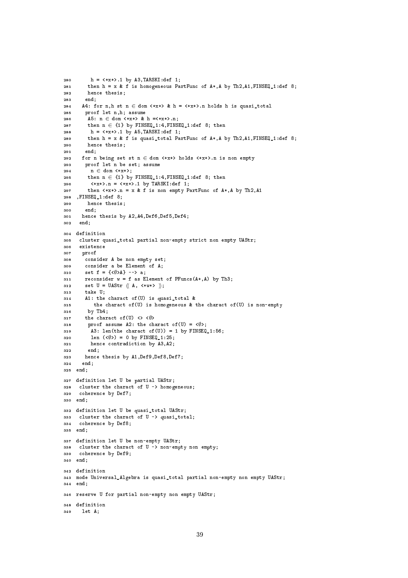```
280 h = \langle*x*>.1 by A3,TARSKI:def 1;
281 then h = x & f is homogeneous PartFun
 of A*,A by Th2,A1,FINSEQ_1:def 8;
282 hen
e thesis;
283 end;
284 A4: for n,h st n \in dom \langle*x*> & h = \langle*x*>.n holds h is quasi_total
285
        proof let n,h; assume
         A5: n \in \text{dom} <*x*> & h =<*x*>.n;
286287 then n \in \{1\} by FINSEQ_1:4, FINSEQ_1:def 8; then
288 h = <*x*>.1 by A5,TARSKI:def 1;
289 then h = x & f is quasi_total PartFun
 of A*,A by Th2,A1,FINSEQ_1:def 8;
290 hen
e thesis;
291 end;
292 for n being set st n \in dom \iff x \iff n holds \iff x \iff n is non empty
        proof let n be set; assume
203294
         n \in dom \iff x *;
295 then n \in \{1\} by FINSEQ_1:4, FINSEQ_1:def 8; then
296 <*x*>.n = <*x*>.1 by TARSKI:def 1;
297 then \langle x,x\rangle.n = x & f is non empty PartFunc of A*, A by Th2, A1
298 ,FINSEQ_1:def 8;
200hence thesis:
e thesis in the theory of the set of the set of the set of the set of the set of the set of the set of the set
300 end;
      hence thesis by A2, A4, Def6, Def5, Def4;
301
302
      end:
304 definition
305 
luster quasi_total partial non-empty stri
t non empty UAStr;
      existence
306
307 proof
308 
onsider A be non empty set;
309 
onsider a be Element of A;
310 set f = \{\langle \emptyset \rangle A\} --> a;
311 reconsider w = f as Element of PFuncs(A^*,A) by Th3;
312 set U = UAStr \langle A, \langle *w* \rangle \rangle;
313 take U;
314 A1: the charact of (U) is quasi_total &
315 the charact of (U) is homogeneous & the charact of (U) is non-empty
316 by Th4;
317 the charact of (U) <> <\emptyset>
318 proof assume A2: the charact of (U) = \langle \emptyset \rangle;
319 A3: len(the charact of(U)) = 1 by FINSEQ<sub>1:56;</sub>
320 len ({\langle \emptyset \rangle}) = 0 by FINSEQ_1:25;
321 hen
e 
ontradi
tion by A3,A2;
322 end;
323 hen
e thesis by A1,Def9,Def8,Def7;
324end:
325 end;
327 definition let U be partial UAStr;
328 
luster the 
hara
t of U -> homogeneous;
329 
oheren
e by Def7;
330 end;
332 definition let U be quasi_total UAStr;
333 cluster the charact of U -> quasi_total;
334 
oheren
e by Def8;
335 end;
337 definition let U be non-empty UAStr;
338 cluster the charact of U -> non-empty non empty;
339 
oheren
e by Def9;
340 end;
342 definition
343 mode Universal_Algebra is quasi_total partial non-empty non empty UAStr;
344 end;
346 reserve U for partial non-empty non empty UAStr;
348 definition
     let A:
340
```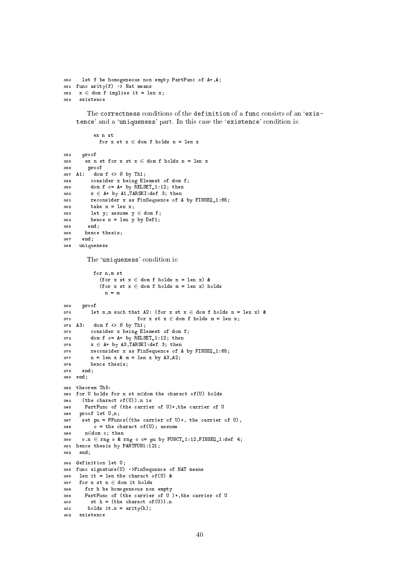```
350
      let f be homogeneous non empty PartFunc of A*, A;
351 func arity(f) -> Nat means
352 x \in dom f implies it = len x;
353
     existence
```
The correctness conditions of the definition of a func consists of an 'existence' and a 'uniqueness' part. In this case the 'existence' condition is:

```
ex n st
             for x st x \in dom f holds n = len xproof
354
        \overline{\phantom{a}} ex n st for x st x \in dom f holds n = len x
355
        proof
356
357 A1: dom f <> \emptyset by Th1;
          consider x being Element of dom f;
358
          dom f c = A* by RELSET<sub>1:12</sub>; then
359
          x \in A* by A1, TARSKI: def 3; then
360
361
          reconsider x as FinSequence of A by FINSEQ_1:65;
          take n = len x;362
363
          let y; assume y \in dom f;
          hence n = len y by Def1;364
365
         end:
        hence thesis;
366
       end;
367
      uniqueness
368
```
The 'uniqueness' condition is:

```
for n,m st
             (for x st x \in dom f holds n = len x) &
             (for x st x \in dom f holds m = len x) holds
               n = m369
      proof
          let n, m such that A2: (for x st x \in dom f holds n = len x) &
370
                           for x st x \in dom f holds m = len x;
371
372 A3: dom f <> \emptyset by Th1;
          consider x being Element of dom f;
373
          dom f c = A* by RELSET<sub>1:12</sub>; then
374
          x \in A* by A3, TARSKI: def 3; then
375
          reconsider x as FinSequence of A by FINSEQ 1:65:
376
         n = len x & m = len x by A3, A2;
377
         hence thesis;
378
      end;
379
380 end;
382 theorem Th5:
383 for U holds for n st n \in dom the charact of (U) holds
      (the charact of (U)). n is
384
      PartFunc of (the carrier of U)*, the carrier of U
385
     proof let U,n;
386
      set pu = PFuncs((the carrier of U)*, the carrier of U),
387
          \circ = the charact of (U); assume
388
       n \in dom o; then
389
      o.n \in rng o \& rng o \c = pu by FUNCTION_1:12, FINSEQ_1:def 4;390
391 hence thesis by PARTFUN1:121;
     end:392
394 definition let U;
395 func signature(U) ->FinSequence of NAT means
     len it = len the charact of (U) &
396
397
     for n st n \in dom it holds
       for h be homogeneous non empty
398
       PartFunc of (the carrier of U)*, the carrier of U
399
         st h = (the character of (U)).n400
        holds it.n = arity(h);
401
    existence
402
```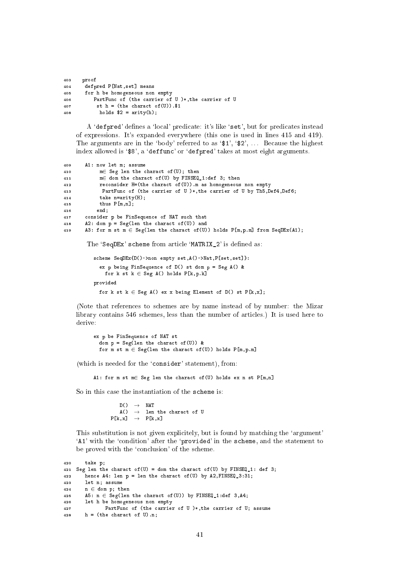| 403 | proof                                             |
|-----|---------------------------------------------------|
| 404 | defpred P[Nat, set] means                         |
| 405 | for h be homogeneous non empty                    |
| 406 | PartFunc of (the carrier of U)*, the carrier of U |
| 407 | st $h = (the character of (U))$ \$1               |
| 408 | holds $$2 =$ arity(h);                            |

A 'defpred' defines a 'local' predicate: it's like 'set', but for predicates instead of expressions. It's expanded everywhere (this one is used in lines 415 and 419). The arguments are in the 'body' referred to as ' $\$ 1', \' $\$ 2', \ldots Because the highest index allowed is '\$8', a 'deffunc' or 'defpred' takes at most eight arguments.

```
A1: now let m; assume
409
             m \in Seg len the charact of (U); then
410
             m \in dom the charact of (U) by FINSEQ 1:def 3; then
411
412
             reconsider H=(the charact of(U)). m as homogeneous non empty
              PartFunc of (the carrier of U)*, the carrier of U by Th5, Def4, Def6;
413
414
             take n=arity(H);
             thus P[m,n];
415
            end:416417
        consider p be FinSequence of NAT such that
        A2: dom p = Seg(len the character of (U)) and
418
        A3: for m st m \in \text{Seg}(\text{len the character of } (U)) holds P[m, p, m] from \text{SeqDEx}(A1);
419
```
The 'SeqDEx' scheme from article 'MATRIX\_2' is defined as:

```
scheme SeqDEx{D()->non empty set, A()->Nat, P[set, set]}:
  ex p being FinSequence of D() st dom p = Seg A() &
    for k st k \in Seg A() holds P[k, p, k]provided
  for k st k \in \text{Seg } A() ex x being Element of D() st P[k, x];
```
(Note that references to schemes are by name instead of by number: the Mizar library contains 546 schemes, less than the number of articles.) It is used here to derive:

ex p be FinSequence of NAT st dom  $p = Seg(len the character of (U))$  & for m st  $m \in \text{Seg}$ (len the charact of (U)) holds  $P[m, p, m]$ 

(which is needed for the 'consider' statement), from:

A1: for m st m 
e Seg len the charact of (U) holds ex n st  $P[m,n]$ 

So in this case the instantiation of the scheme is:

 $D()$  $\rightarrow$ **NAT** len the charact of U  $A()$  $\rightarrow$  $P[k, x] \rightarrow P[k, x]$ 

This substitution is not given explicitely, but is found by matching the 'argument' 'A1' with the 'condition' after the 'provided' in the scheme, and the statement to be proved with the 'conclusion' of the scheme.

```
420
        take p;
421 Seg len the charact of (U) = dom the charact of (U) by FINSEQ 1: def 3;
        hence A4: len p = len the charact of (U) by A2, FINSEQ 3:31;
422423
        let n; assume
424
        n \in dom p; then
        A5: n \in \text{Seg}(\text{len the character of}(U)) by FINSEQ<sub>1:def</sub> 3, A4;
425
        let h be homogeneous non empty
426
                PartFunc of (the carrier of U )*, the carrier of U; assume
427h = (the character of U).n;428
```